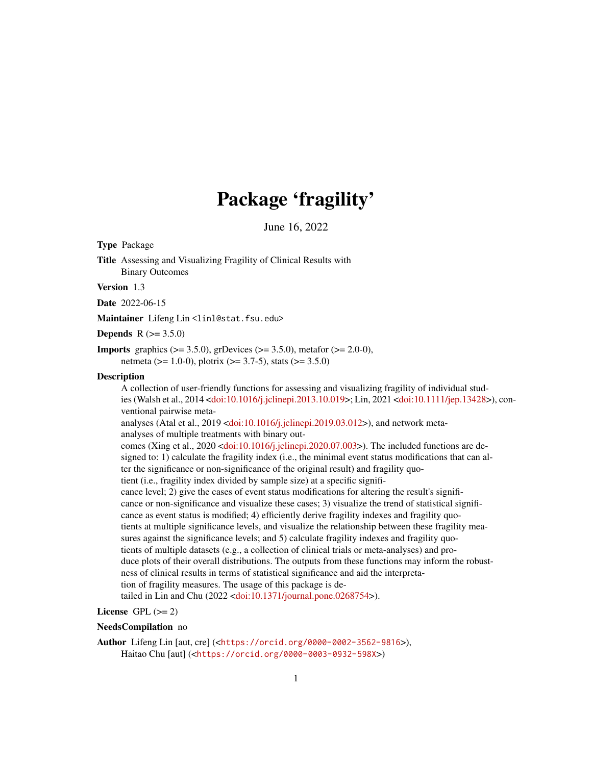# Package 'fragility'

June 16, 2022

<span id="page-0-0"></span>Type Package

Title Assessing and Visualizing Fragility of Clinical Results with Binary Outcomes

Version 1.3

Date 2022-06-15

Maintainer Lifeng Lin<linl@stat.fsu.edu>

**Depends**  $R (= 3.5.0)$ 

**Imports** graphics ( $>= 3.5.0$ ), grDevices ( $>= 3.5.0$ ), metafor ( $>= 2.0-0$ ), netmeta ( $> = 1.0-0$ ), plotrix ( $>= 3.7-5$ ), stats ( $>= 3.5.0$ )

#### **Description**

A collection of user-friendly functions for assessing and visualizing fragility of individual studies (Walsh et al., 2014 [<doi:10.1016/j.jclinepi.2013.10.019>](https://doi.org/10.1016/j.jclinepi.2013.10.019); Lin, 2021 [<doi:10.1111/jep.13428>](https://doi.org/10.1111/jep.13428)), conventional pairwise meta-

analyses (Atal et al., 2019 [<doi:10.1016/j.jclinepi.2019.03.012>](https://doi.org/10.1016/j.jclinepi.2019.03.012)), and network metaanalyses of multiple treatments with binary out-

comes (Xing et al., 2020 [<doi:10.1016/j.jclinepi.2020.07.003>](https://doi.org/10.1016/j.jclinepi.2020.07.003)). The included functions are designed to: 1) calculate the fragility index (i.e., the minimal event status modifications that can alter the significance or non-significance of the original result) and fragility quo-

tient (i.e., fragility index divided by sample size) at a specific signifi-

cance level; 2) give the cases of event status modifications for altering the result's significance or non-significance and visualize these cases; 3) visualize the trend of statistical significance as event status is modified; 4) efficiently derive fragility indexes and fragility quotients at multiple significance levels, and visualize the relationship between these fragility measures against the significance levels; and 5) calculate fragility indexes and fragility quotients of multiple datasets (e.g., a collection of clinical trials or meta-analyses) and produce plots of their overall distributions. The outputs from these functions may inform the robustness of clinical results in terms of statistical significance and aid the interpretation of fragility measures. The usage of this package is de-tailed in Lin and Chu (2022 [<doi:10.1371/journal.pone.0268754>](https://doi.org/10.1371/journal.pone.0268754)).

License GPL  $(>= 2)$ 

#### NeedsCompilation no

Author Lifeng Lin [aut, cre] (<<https://orcid.org/0000-0002-3562-9816>>), Haitao Chu [aut] (<<https://orcid.org/0000-0003-0932-598X>>)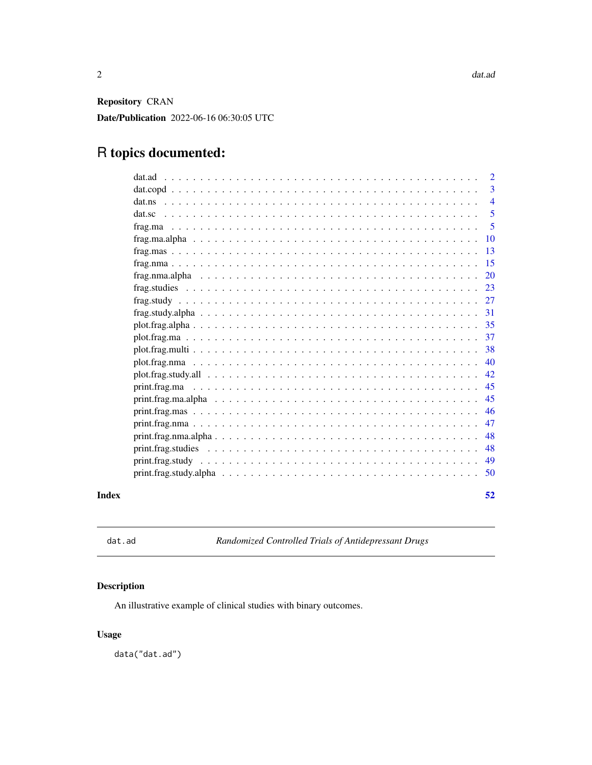<span id="page-1-0"></span>Repository CRAN Date/Publication 2022-06-16 06:30:05 UTC

# R topics documented:

|       | dat.ad                                                                                                                   | 2              |
|-------|--------------------------------------------------------------------------------------------------------------------------|----------------|
|       |                                                                                                                          | 3              |
|       |                                                                                                                          | $\overline{4}$ |
|       | dat.sc                                                                                                                   | 5              |
|       |                                                                                                                          | 5              |
|       |                                                                                                                          | 10             |
|       |                                                                                                                          | 13             |
|       |                                                                                                                          | 15             |
|       |                                                                                                                          | <b>20</b>      |
|       |                                                                                                                          | 23             |
|       |                                                                                                                          | 27             |
|       |                                                                                                                          | 31             |
|       |                                                                                                                          | 35             |
|       |                                                                                                                          | 37             |
|       |                                                                                                                          | 38             |
|       |                                                                                                                          | 40             |
|       | $plot, frag, study, all \dots \dots \dots \dots \dots \dots \dots \dots \dots \dots \dots \dots \dots \dots \dots \dots$ | 42             |
|       |                                                                                                                          | 45             |
|       |                                                                                                                          | 45             |
|       |                                                                                                                          | 46             |
|       |                                                                                                                          | 47             |
|       | $print, frag.nma. alpha \dots \dots \dots \dots \dots \dots \dots \dots \dots \dots \dots \dots \dots \dots \dots$       | 48             |
|       | $print, frag. studies \dots \dots \dots \dots \dots \dots \dots \dots \dots \dots \dots \dots \dots \dots \dots$         | 48             |
|       | $print, frag. study \dots \dots \dots \dots \dots \dots \dots \dots \dots \dots \dots \dots \dots \dots \dots \dots$     | 49             |
|       | $print. frag. study. alpha \dots \dots \dots \dots \dots \dots \dots \dots \dots \dots \dots \dots \dots \dots$          | 50             |
| Index |                                                                                                                          | 52             |

dat.ad *Randomized Controlled Trials of Antidepressant Drugs*

# Description

An illustrative example of clinical studies with binary outcomes.

# Usage

data("dat.ad")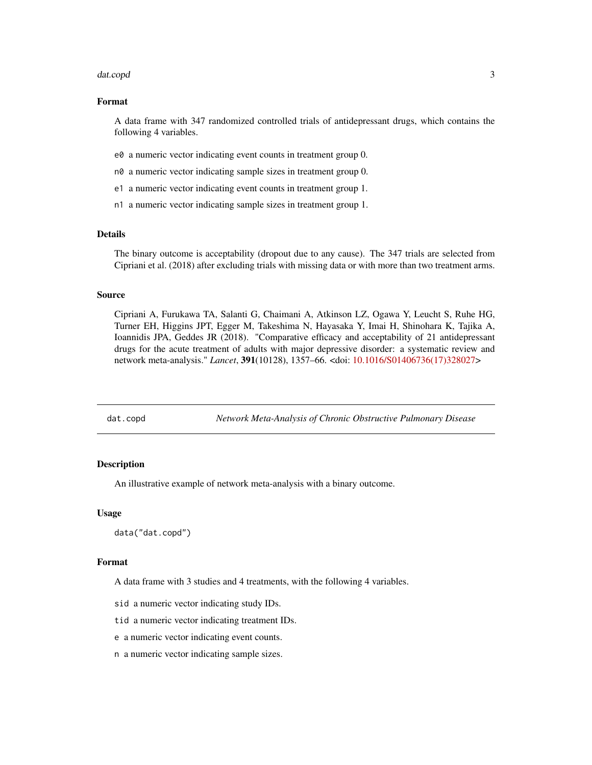#### <span id="page-2-0"></span>dat.copd 3

#### Format

A data frame with 347 randomized controlled trials of antidepressant drugs, which contains the following 4 variables.

- e0 a numeric vector indicating event counts in treatment group 0.
- n0 a numeric vector indicating sample sizes in treatment group 0.
- e1 a numeric vector indicating event counts in treatment group 1.
- n1 a numeric vector indicating sample sizes in treatment group 1.

#### Details

The binary outcome is acceptability (dropout due to any cause). The 347 trials are selected from Cipriani et al. (2018) after excluding trials with missing data or with more than two treatment arms.

#### Source

Cipriani A, Furukawa TA, Salanti G, Chaimani A, Atkinson LZ, Ogawa Y, Leucht S, Ruhe HG, Turner EH, Higgins JPT, Egger M, Takeshima N, Hayasaka Y, Imai H, Shinohara K, Tajika A, Ioannidis JPA, Geddes JR (2018). "Comparative efficacy and acceptability of 21 antidepressant drugs for the acute treatment of adults with major depressive disorder: a systematic review and network meta-analysis." *Lancet*, 391(10128), 1357–66. <doi: [10.1016/S01406736\(17\)328027>](https://doi.org/10.1016/S0140-6736(17)32802-7)

dat.copd *Network Meta-Analysis of Chronic Obstructive Pulmonary Disease*

#### **Description**

An illustrative example of network meta-analysis with a binary outcome.

#### Usage

data("dat.copd")

#### Format

A data frame with 3 studies and 4 treatments, with the following 4 variables.

sid a numeric vector indicating study IDs.

tid a numeric vector indicating treatment IDs.

- e a numeric vector indicating event counts.
- n a numeric vector indicating sample sizes.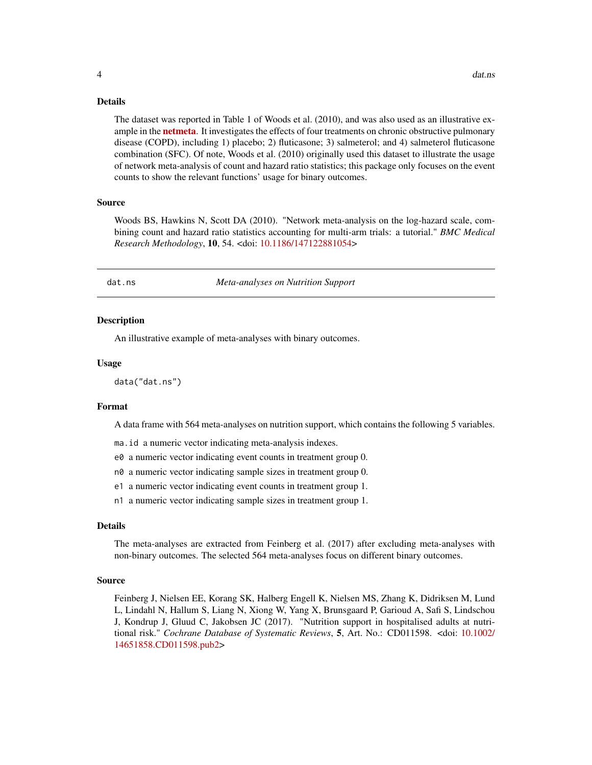<span id="page-3-0"></span>The dataset was reported in Table 1 of Woods et al. (2010), and was also used as an illustrative example in the **[netmeta](https://CRAN.R-project.org/package=netmeta)**. It investigates the effects of four treatments on chronic obstructive pulmonary disease (COPD), including 1) placebo; 2) fluticasone; 3) salmeterol; and 4) salmeterol fluticasone combination (SFC). Of note, Woods et al. (2010) originally used this dataset to illustrate the usage of network meta-analysis of count and hazard ratio statistics; this package only focuses on the event counts to show the relevant functions' usage for binary outcomes.

#### Source

Woods BS, Hawkins N, Scott DA (2010). "Network meta-analysis on the log-hazard scale, combining count and hazard ratio statistics accounting for multi-arm trials: a tutorial." *BMC Medical Research Methodology*, 10, 54. <doi: [10.1186/147122881054>](https://doi.org/10.1186/1471-2288-10-54)

dat.ns *Meta-analyses on Nutrition Support*

#### **Description**

An illustrative example of meta-analyses with binary outcomes.

#### Usage

data("dat.ns")

#### Format

A data frame with 564 meta-analyses on nutrition support, which contains the following 5 variables.

- ma.id a numeric vector indicating meta-analysis indexes.
- e0 a numeric vector indicating event counts in treatment group 0.
- n0 a numeric vector indicating sample sizes in treatment group 0.
- e1 a numeric vector indicating event counts in treatment group 1.
- n1 a numeric vector indicating sample sizes in treatment group 1.

#### Details

The meta-analyses are extracted from Feinberg et al. (2017) after excluding meta-analyses with non-binary outcomes. The selected 564 meta-analyses focus on different binary outcomes.

#### Source

Feinberg J, Nielsen EE, Korang SK, Halberg Engell K, Nielsen MS, Zhang K, Didriksen M, Lund L, Lindahl N, Hallum S, Liang N, Xiong W, Yang X, Brunsgaard P, Garioud A, Safi S, Lindschou J, Kondrup J, Gluud C, Jakobsen JC (2017). "Nutrition support in hospitalised adults at nutritional risk." *Cochrane Database of Systematic Reviews*, 5, Art. No.: CD011598. <doi: [10.1002/](https://doi.org/10.1002/14651858.CD011598.pub2) [14651858.CD011598.pub2>](https://doi.org/10.1002/14651858.CD011598.pub2)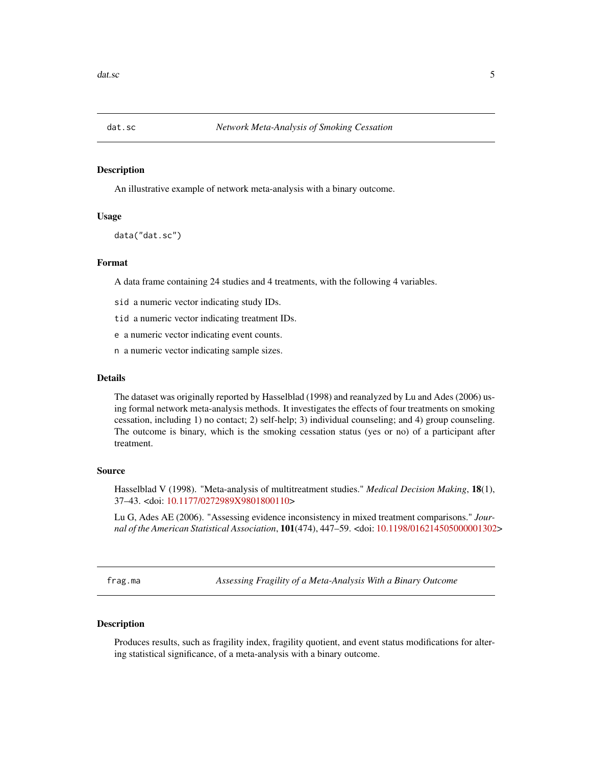<span id="page-4-0"></span>

#### Description

An illustrative example of network meta-analysis with a binary outcome.

#### Usage

data("dat.sc")

#### Format

A data frame containing 24 studies and 4 treatments, with the following 4 variables.

sid a numeric vector indicating study IDs.

tid a numeric vector indicating treatment IDs.

e a numeric vector indicating event counts.

n a numeric vector indicating sample sizes.

## Details

The dataset was originally reported by Hasselblad (1998) and reanalyzed by Lu and Ades (2006) using formal network meta-analysis methods. It investigates the effects of four treatments on smoking cessation, including 1) no contact; 2) self-help; 3) individual counseling; and 4) group counseling. The outcome is binary, which is the smoking cessation status (yes or no) of a participant after treatment.

#### Source

Hasselblad V (1998). "Meta-analysis of multitreatment studies." *Medical Decision Making*, 18(1), 37–43. <doi: [10.1177/0272989X9801800110>](https://doi.org/10.1177/0272989X9801800110)

Lu G, Ades AE (2006). "Assessing evidence inconsistency in mixed treatment comparisons." *Journal of the American Statistical Association*, 101(474), 447–59. <doi: [10.1198/016214505000001302>](https://doi.org/10.1198/016214505000001302)

<span id="page-4-1"></span>frag.ma *Assessing Fragility of a Meta-Analysis With a Binary Outcome*

#### Description

Produces results, such as fragility index, fragility quotient, and event status modifications for altering statistical significance, of a meta-analysis with a binary outcome.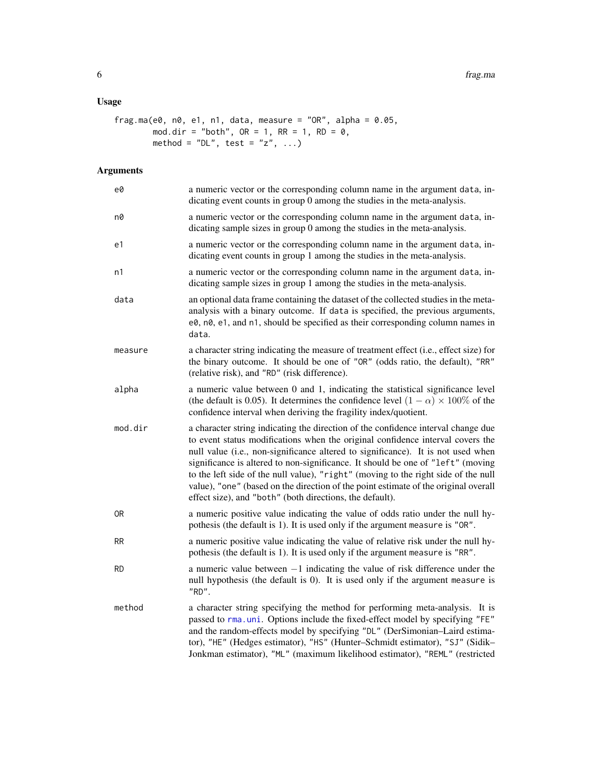# <span id="page-5-0"></span>Usage

```
frag.ma(e0, n0, e1, n1, data, measure = "OR", alpha = 0.05,
        mod.dim = "both", OR = 1, RR = 1, RD = 0,method = "DL", test = "z", \ldots)
```

| e0        | a numeric vector or the corresponding column name in the argument data, in-<br>dicating event counts in group 0 among the studies in the meta-analysis.                                                                                                                                                                                                                                                                                                                                                                                                                             |
|-----------|-------------------------------------------------------------------------------------------------------------------------------------------------------------------------------------------------------------------------------------------------------------------------------------------------------------------------------------------------------------------------------------------------------------------------------------------------------------------------------------------------------------------------------------------------------------------------------------|
| n0        | a numeric vector or the corresponding column name in the argument data, in-<br>dicating sample sizes in group 0 among the studies in the meta-analysis.                                                                                                                                                                                                                                                                                                                                                                                                                             |
| e1        | a numeric vector or the corresponding column name in the argument data, in-<br>dicating event counts in group 1 among the studies in the meta-analysis.                                                                                                                                                                                                                                                                                                                                                                                                                             |
| n1        | a numeric vector or the corresponding column name in the argument data, in-<br>dicating sample sizes in group 1 among the studies in the meta-analysis.                                                                                                                                                                                                                                                                                                                                                                                                                             |
| data      | an optional data frame containing the dataset of the collected studies in the meta-<br>analysis with a binary outcome. If data is specified, the previous arguments,<br>e0, n0, e1, and n1, should be specified as their corresponding column names in<br>data.                                                                                                                                                                                                                                                                                                                     |
| measure   | a character string indicating the measure of treatment effect (i.e., effect size) for<br>the binary outcome. It should be one of "OR" (odds ratio, the default), "RR"<br>(relative risk), and "RD" (risk difference).                                                                                                                                                                                                                                                                                                                                                               |
| alpha     | a numeric value between 0 and 1, indicating the statistical significance level<br>(the default is 0.05). It determines the confidence level $(1 - \alpha) \times 100\%$ of the<br>confidence interval when deriving the fragility index/quotient.                                                                                                                                                                                                                                                                                                                                   |
| mod.dir   | a character string indicating the direction of the confidence interval change due<br>to event status modifications when the original confidence interval covers the<br>null value (i.e., non-significance altered to significance). It is not used when<br>significance is altered to non-significance. It should be one of "left" (moving<br>to the left side of the null value), "right" (moving to the right side of the null<br>value), "one" (based on the direction of the point estimate of the original overall<br>effect size), and "both" (both directions, the default). |
| 0R        | a numeric positive value indicating the value of odds ratio under the null hy-<br>pothesis (the default is 1). It is used only if the argument measure is "OR".                                                                                                                                                                                                                                                                                                                                                                                                                     |
| <b>RR</b> | a numeric positive value indicating the value of relative risk under the null hy-<br>pothesis (the default is 1). It is used only if the argument measure is "RR".                                                                                                                                                                                                                                                                                                                                                                                                                  |
| <b>RD</b> | a numeric value between $-1$ indicating the value of risk difference under the<br>null hypothesis (the default is 0). It is used only if the argument measure is<br>"RD".                                                                                                                                                                                                                                                                                                                                                                                                           |
| method    | a character string specifying the method for performing meta-analysis. It is<br>passed to rma.uni. Options include the fixed-effect model by specifying "FE"<br>and the random-effects model by specifying "DL" (DerSimonian-Laird estima-<br>tor), "HE" (Hedges estimator), "HS" (Hunter-Schmidt estimator), "SJ" (Sidik-<br>Jonkman estimator), "ML" (maximum likelihood estimator), "REML" (restricted                                                                                                                                                                           |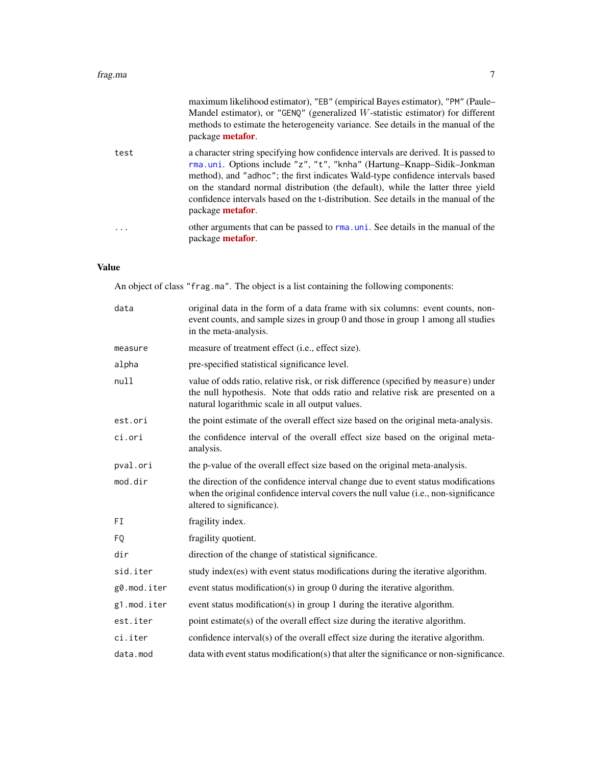<span id="page-6-0"></span>

|      | maximum likelihood estimator), "EB" (empirical Bayes estimator), "PM" (Paule-<br>Mandel estimator), or "GENQ" (generalized W-statistic estimator) for different<br>methods to estimate the heterogeneity variance. See details in the manual of the<br>package metafor.                                                                                                                                                                              |
|------|------------------------------------------------------------------------------------------------------------------------------------------------------------------------------------------------------------------------------------------------------------------------------------------------------------------------------------------------------------------------------------------------------------------------------------------------------|
| test | a character string specifying how confidence intervals are derived. It is passed to<br>rma.uni. Options include "z", "t", "knha" (Hartung-Knapp-Sidik-Jonkman<br>method), and "adhoc"; the first indicates Wald-type confidence intervals based<br>on the standard normal distribution (the default), while the latter three yield<br>confidence intervals based on the t-distribution. See details in the manual of the<br>package <b>metafor</b> . |
| .    | other arguments that can be passed to rma, uni. See details in the manual of the<br>package metafor.                                                                                                                                                                                                                                                                                                                                                 |

# Value

An object of class "frag.ma". The object is a list containing the following components:

| data        | original data in the form of a data frame with six columns: event counts, non-<br>event counts, and sample sizes in group 0 and those in group 1 among all studies<br>in the meta-analysis.                              |
|-------------|--------------------------------------------------------------------------------------------------------------------------------------------------------------------------------------------------------------------------|
| measure     | measure of treatment effect (i.e., effect size).                                                                                                                                                                         |
| alpha       | pre-specified statistical significance level.                                                                                                                                                                            |
| null        | value of odds ratio, relative risk, or risk difference (specified by measure) under<br>the null hypothesis. Note that odds ratio and relative risk are presented on a<br>natural logarithmic scale in all output values. |
| est.ori     | the point estimate of the overall effect size based on the original meta-analysis.                                                                                                                                       |
| ci.ori      | the confidence interval of the overall effect size based on the original meta-<br>analysis.                                                                                                                              |
| pval.ori    | the p-value of the overall effect size based on the original meta-analysis.                                                                                                                                              |
| mod.dir     | the direction of the confidence interval change due to event status modifications<br>when the original confidence interval covers the null value (i.e., non-significance<br>altered to significance).                    |
| FI          | fragility index.                                                                                                                                                                                                         |
| FQ          | fragility quotient.                                                                                                                                                                                                      |
| dir         | direction of the change of statistical significance.                                                                                                                                                                     |
| sid.iter    | study index(es) with event status modifications during the iterative algorithm.                                                                                                                                          |
| g0.mod.iter | event status modification(s) in group 0 during the iterative algorithm.                                                                                                                                                  |
| g1.mod.iter | event status modification(s) in group 1 during the iterative algorithm.                                                                                                                                                  |
| est.iter    | point estimate(s) of the overall effect size during the iterative algorithm.                                                                                                                                             |
| ci.iter     | confidence interval(s) of the overall effect size during the iterative algorithm.                                                                                                                                        |
| data.mod    | data with event status modification(s) that alter the significance or non-significance.                                                                                                                                  |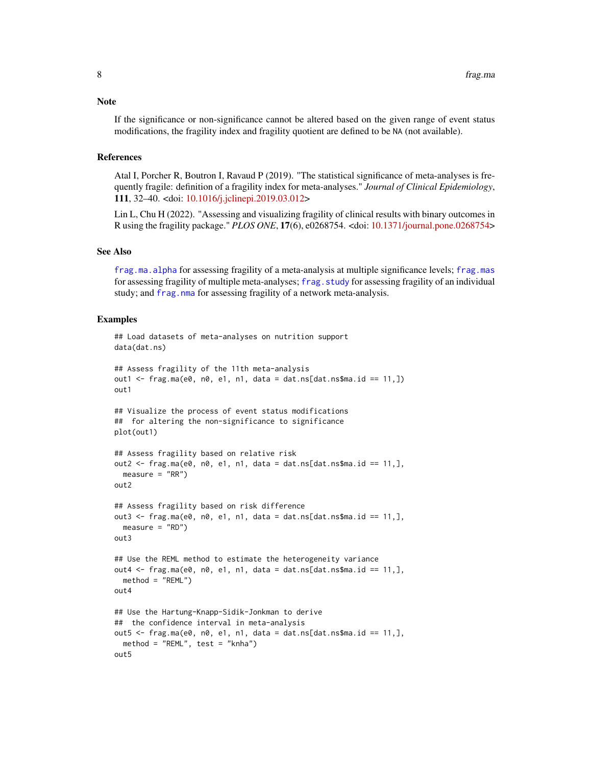<span id="page-7-0"></span>**Note** 

If the significance or non-significance cannot be altered based on the given range of event status modifications, the fragility index and fragility quotient are defined to be NA (not available).

#### References

Atal I, Porcher R, Boutron I, Ravaud P (2019). "The statistical significance of meta-analyses is frequently fragile: definition of a fragility index for meta-analyses." *Journal of Clinical Epidemiology*, 111, 32–40. <doi: [10.1016/j.jclinepi.2019.03.012>](https://doi.org/10.1016/j.jclinepi.2019.03.012)

Lin L, Chu H (2022). "Assessing and visualizing fragility of clinical results with binary outcomes in R using the fragility package." *PLOS ONE*, 17(6), e0268754. <doi: [10.1371/journal.pone.0268754>](https://doi.org/10.1371/journal.pone.0268754)

#### See Also

[frag.ma.alpha](#page-9-1) for assessing fragility of a meta-analysis at multiple significance levels; [frag.mas](#page-12-1) for assessing fragility of multiple meta-analyses; [frag.study](#page-26-1) for assessing fragility of an individual study; and [frag.nma](#page-14-1) for assessing fragility of a network meta-analysis.

#### Examples

```
## Load datasets of meta-analyses on nutrition support
data(dat.ns)
## Assess fragility of the 11th meta-analysis
out1 <- frag.ma(e0, n0, e1, n1, data = dat.ns[dat.ns$ma.id == 11,])
out1
## Visualize the process of event status modifications
## for altering the non-significance to significance
plot(out1)
## Assess fragility based on relative risk
out2 \leq frag.ma(e0, n0, e1, n1, data = dat.ns[dat.ns$ma.id == 11,],
  measure = "RR")out2
## Assess fragility based on risk difference
out3 \leq frag.ma(e0, n0, e1, n1, data = dat.ns[dat.ns$ma.id == 11,],
  measure = "RD")out3
## Use the REML method to estimate the heterogeneity variance
out4 \leq frag.ma(e0, n0, e1, n1, data = dat.ns[dat.ns$ma.id == 11,],
  method = "REML")out4
## Use the Hartung-Knapp-Sidik-Jonkman to derive
## the confidence interval in meta-analysis
out5 \leq frag.ma(e0, n0, e1, n1, data = dat.ns[dat.ns$ma.id == 11,],
  method = "REML", test = "knha")out5
```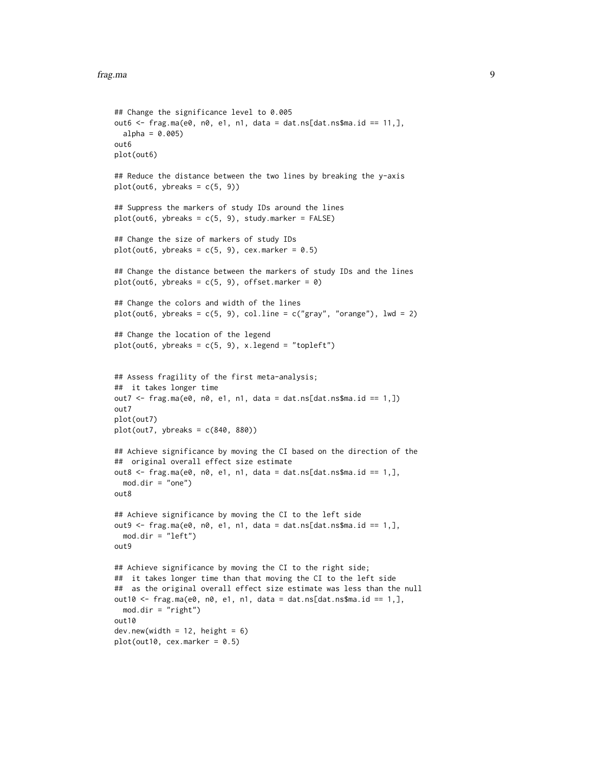```
## Change the significance level to 0.005
out6 <- frag.ma(e0, n0, e1, n1, data = dat.ns[dat.ns$ma.id == 11,],
  alpha = 0.005out6
plot(out6)
## Reduce the distance between the two lines by breaking the y-axis
plot(out6, ybreaks = c(5, 9))## Suppress the markers of study IDs around the lines
plot(out6, ybreaks = c(5, 9), study.marker = FALSE)## Change the size of markers of study IDs
plot(out6, ybreaks = c(5, 9), cex.marker = 0.5)
## Change the distance between the markers of study IDs and the lines
plot(out6, ybreaks = c(5, 9), offset.maxker = 0)## Change the colors and width of the lines
plot(out6, ybreaks = c(5, 9), col.line = c("gray", "orange"), lwd = 2)
## Change the location of the legend
plot(out6, ybreaks = c(5, 9), x.length = "topleft")## Assess fragility of the first meta-analysis;
## it takes longer time
out7 <- frag.ma(e0, n0, e1, n1, data = dat.ns[dat.ns$ma.id == 1,])
out7
plot(out7)
plot(out7, ybreaks = c(840, 880))## Achieve significance by moving the CI based on the direction of the
## original overall effect size estimate
out8 \leq frag.ma(e0, n0, e1, n1, data = dat.ns[dat.ns$ma.id == 1,],
  mod.dim = "one")out8
## Achieve significance by moving the CI to the left side
out9 \leq frag.ma(e0, n0, e1, n1, data = dat.ns[dat.ns$ma.id == 1,],
  mod.dim = "left")out9
## Achieve significance by moving the CI to the right side;
## it takes longer time than that moving the CI to the left side
## as the original overall effect size estimate was less than the null
out10 \leq frag.ma(e0, n0, e1, n1, data = dat.ns[dat.ns$ma.id == 1,],
  mod.dir = "right")
out10dev.new(width = 12, height = 6)plot(out10, cex.marker = 0.5)
```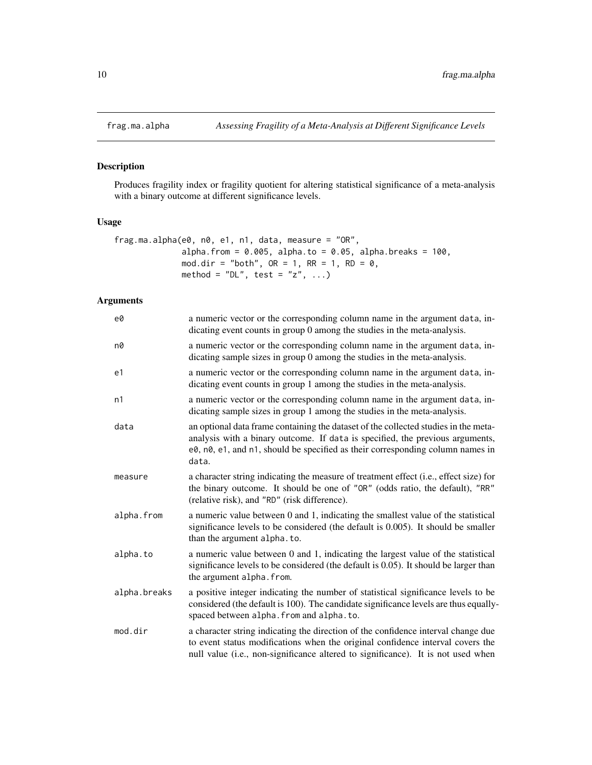# Description

Produces fragility index or fragility quotient for altering statistical significance of a meta-analysis with a binary outcome at different significance levels.

# Usage

```
frag.ma.alpha(e0, n0, e1, n1, data, measure = "OR",
              alpha.from = 0.005, alpha.to = 0.05, alpha.breaks = 100,
              mod.dir = "both", OR = 1, RR = 1, RD = 0,
              method = "DL", test = "z", \ldots)
```

| e0           | a numeric vector or the corresponding column name in the argument data, in-<br>dicating event counts in group 0 among the studies in the meta-analysis.                                                                                                         |
|--------------|-----------------------------------------------------------------------------------------------------------------------------------------------------------------------------------------------------------------------------------------------------------------|
| n0           | a numeric vector or the corresponding column name in the argument data, in-<br>dicating sample sizes in group 0 among the studies in the meta-analysis.                                                                                                         |
| e1           | a numeric vector or the corresponding column name in the argument data, in-<br>dicating event counts in group 1 among the studies in the meta-analysis.                                                                                                         |
| n1           | a numeric vector or the corresponding column name in the argument data, in-<br>dicating sample sizes in group 1 among the studies in the meta-analysis.                                                                                                         |
| data         | an optional data frame containing the dataset of the collected studies in the meta-<br>analysis with a binary outcome. If data is specified, the previous arguments,<br>e0, n0, e1, and n1, should be specified as their corresponding column names in<br>data. |
| measure      | a character string indicating the measure of treatment effect (i.e., effect size) for<br>the binary outcome. It should be one of "OR" (odds ratio, the default), "RR"<br>(relative risk), and "RD" (risk difference).                                           |
| alpha.from   | a numeric value between 0 and 1, indicating the smallest value of the statistical<br>significance levels to be considered (the default is 0.005). It should be smaller<br>than the argument alpha. to.                                                          |
| alpha.to     | a numeric value between 0 and 1, indicating the largest value of the statistical<br>significance levels to be considered (the default is 0.05). It should be larger than<br>the argument alpha. from.                                                           |
| alpha.breaks | a positive integer indicating the number of statistical significance levels to be<br>considered (the default is 100). The candidate significance levels are thus equally-<br>spaced between alpha. from and alpha. to.                                          |
| mod.dir      | a character string indicating the direction of the confidence interval change due<br>to event status modifications when the original confidence interval covers the<br>null value (i.e., non-significance altered to significance). It is not used when         |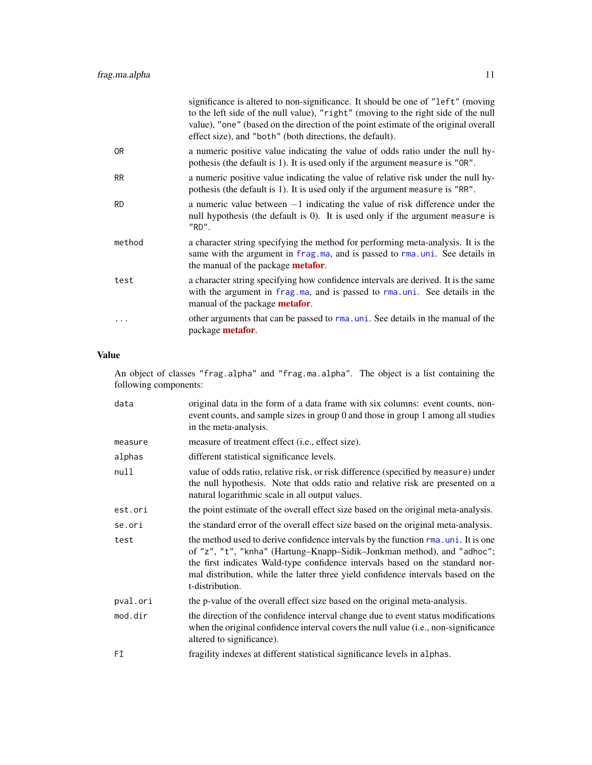<span id="page-10-0"></span>

|                | significance is altered to non-significance. It should be one of "left" (moving<br>to the left side of the null value), "right" (moving to the right side of the null<br>value), "one" (based on the direction of the point estimate of the original overall<br>effect size), and "both" (both directions, the default). |
|----------------|--------------------------------------------------------------------------------------------------------------------------------------------------------------------------------------------------------------------------------------------------------------------------------------------------------------------------|
| 0 <sub>R</sub> | a numeric positive value indicating the value of odds ratio under the null hy-<br>pothesis (the default is 1). It is used only if the argument measure is "OR".                                                                                                                                                          |
| <b>RR</b>      | a numeric positive value indicating the value of relative risk under the null hy-<br>pothesis (the default is 1). It is used only if the argument measure is "RR".                                                                                                                                                       |
| <b>RD</b>      | a numeric value between $-1$ indicating the value of risk difference under the<br>null hypothesis (the default is 0). It is used only if the argument measure is<br>"RD".                                                                                                                                                |
| method         | a character string specifying the method for performing meta-analysis. It is the<br>same with the argument in frag.ma, and is passed to rma.uni. See details in<br>the manual of the package <b>metafor</b> .                                                                                                            |
| test           | a character string specifying how confidence intervals are derived. It is the same<br>with the argument in frag.ma, and is passed to rma.uni. See details in the<br>manual of the package <b>metafor</b> .                                                                                                               |
|                | other arguments that can be passed to rma, uni. See details in the manual of the<br>package <b>metafor</b> .                                                                                                                                                                                                             |

# Value

An object of classes "frag.alpha" and "frag.ma.alpha". The object is a list containing the following components:

| data     | original data in the form of a data frame with six columns: event counts, non-<br>event counts, and sample sizes in group 0 and those in group 1 among all studies<br>in the meta-analysis.                                                                                                                                                          |
|----------|------------------------------------------------------------------------------------------------------------------------------------------------------------------------------------------------------------------------------------------------------------------------------------------------------------------------------------------------------|
| measure  | measure of treatment effect (i.e., effect size).                                                                                                                                                                                                                                                                                                     |
| alphas   | different statistical significance levels.                                                                                                                                                                                                                                                                                                           |
| null     | value of odds ratio, relative risk, or risk difference (specified by measure) under<br>the null hypothesis. Note that odds ratio and relative risk are presented on a<br>natural logarithmic scale in all output values.                                                                                                                             |
| est.ori  | the point estimate of the overall effect size based on the original meta-analysis.                                                                                                                                                                                                                                                                   |
| se.ori   | the standard error of the overall effect size based on the original meta-analysis.                                                                                                                                                                                                                                                                   |
| test     | the method used to derive confidence intervals by the function rma. uni. It is one<br>of "z", "t", "knha" (Hartung-Knapp-Sidik-Jonkman method), and "adhoc";<br>the first indicates Wald-type confidence intervals based on the standard nor-<br>mal distribution, while the latter three yield confidence intervals based on the<br>t-distribution. |
| pval.ori | the p-value of the overall effect size based on the original meta-analysis.                                                                                                                                                                                                                                                                          |
| mod.dir  | the direction of the confidence interval change due to event status modifications<br>when the original confidence interval covers the null value (i.e., non-significance<br>altered to significance).                                                                                                                                                |
| FI       | fragility indexes at different statistical significance levels in alphas.                                                                                                                                                                                                                                                                            |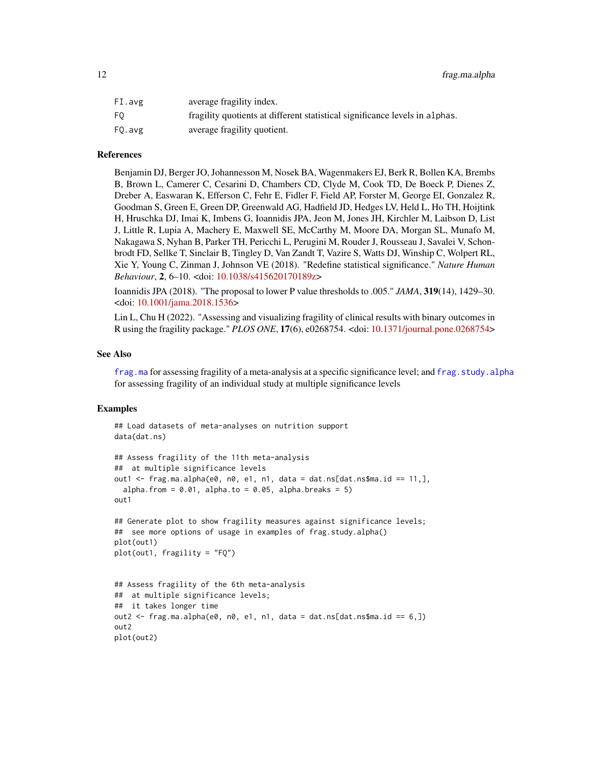<span id="page-11-0"></span>

| FI.avg | average fragility index.                                                    |
|--------|-----------------------------------------------------------------------------|
| F0.    | fragility quotients at different statistical significance levels in alphas. |
| F0.avg | average fragility quotient.                                                 |

#### References

Benjamin DJ, Berger JO, Johannesson M, Nosek BA, Wagenmakers EJ, Berk R, Bollen KA, Brembs B, Brown L, Camerer C, Cesarini D, Chambers CD, Clyde M, Cook TD, De Boeck P, Dienes Z, Dreber A, Easwaran K, Efferson C, Fehr E, Fidler F, Field AP, Forster M, George EI, Gonzalez R, Goodman S, Green E, Green DP, Greenwald AG, Hadfield JD, Hedges LV, Held L, Ho TH, Hoijtink H, Hruschka DJ, Imai K, Imbens G, Ioannidis JPA, Jeon M, Jones JH, Kirchler M, Laibson D, List J, Little R, Lupia A, Machery E, Maxwell SE, McCarthy M, Moore DA, Morgan SL, Munafo M, Nakagawa S, Nyhan B, Parker TH, Pericchi L, Perugini M, Rouder J, Rousseau J, Savalei V, Schonbrodt FD, Sellke T, Sinclair B, Tingley D, Van Zandt T, Vazire S, Watts DJ, Winship C, Wolpert RL, Xie Y, Young C, Zinman J, Johnson VE (2018). "Redefine statistical significance." *Nature Human Behaviour*, 2, 6–10. <doi: [10.1038/s415620170189z>](https://doi.org/10.1038/s41562-017-0189-z)

Ioannidis JPA (2018). "The proposal to lower P value thresholds to .005." *JAMA*, 319(14), 1429–30. <doi: [10.1001/jama.2018.1536>](https://doi.org/10.1001/jama.2018.1536)

Lin L, Chu H (2022). "Assessing and visualizing fragility of clinical results with binary outcomes in R using the fragility package." *PLOS ONE*, 17(6), e0268754. <doi: [10.1371/journal.pone.0268754>](https://doi.org/10.1371/journal.pone.0268754)

#### See Also

[frag.ma](#page-4-1) for assessing fragility of a meta-analysis at a specific significance level; and [frag.study.alpha](#page-30-1) for assessing fragility of an individual study at multiple significance levels

#### Examples

```
## Load datasets of meta-analyses on nutrition support
data(dat.ns)
## Assess fragility of the 11th meta-analysis
## at multiple significance levels
out1 \le frag.ma.alpha(e0, n0, e1, n1, data = dat.ns[dat.ns$ma.id == 11,],
 alpha.from = 0.01, alpha.to = 0.05, alpha.breaks = 5)
out1
## Generate plot to show fragility measures against significance levels;
## see more options of usage in examples of frag.study.alpha()
plot(out1)
plot(out1, fragility = "FQ")
## Assess fragility of the 6th meta-analysis
## at multiple significance levels;
## it takes longer time
out2 <- frag.ma.alpha(e0, n0, e1, n1, data = dat.ns[dat.ns$ma.id == 6,])
out2
plot(out2)
```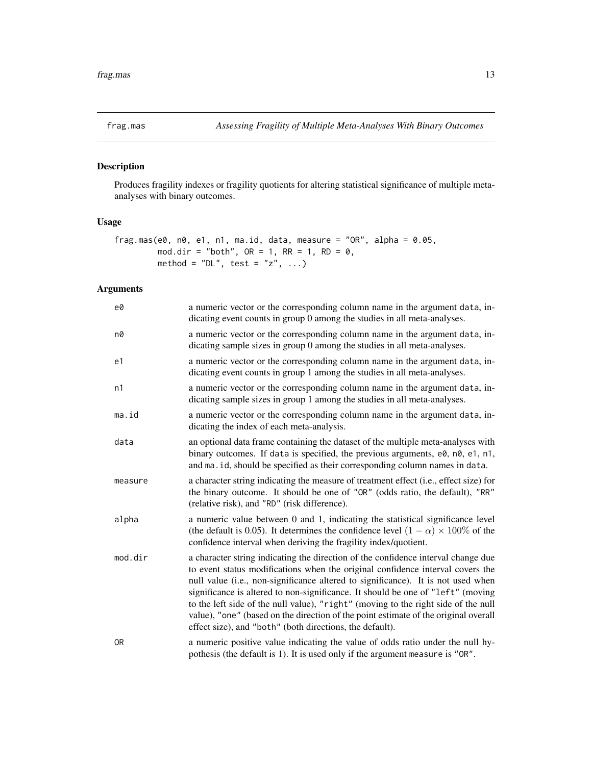<span id="page-12-1"></span><span id="page-12-0"></span>

# Description

Produces fragility indexes or fragility quotients for altering statistical significance of multiple metaanalyses with binary outcomes.

# Usage

```
frag.mas(e0, n0, e1, n1, ma.id, data, measure = "OR", alpha = 0.05,
        mod.dir = "both", OR = 1, RR = 1, RD = 0,
        method = "DL", test = "z", ...)
```

| e0             | a numeric vector or the corresponding column name in the argument data, in-<br>dicating event counts in group 0 among the studies in all meta-analyses.                                                                                                                                                                                                                                                                                                                                                                                                                             |
|----------------|-------------------------------------------------------------------------------------------------------------------------------------------------------------------------------------------------------------------------------------------------------------------------------------------------------------------------------------------------------------------------------------------------------------------------------------------------------------------------------------------------------------------------------------------------------------------------------------|
| n0             | a numeric vector or the corresponding column name in the argument data, in-<br>dicating sample sizes in group 0 among the studies in all meta-analyses.                                                                                                                                                                                                                                                                                                                                                                                                                             |
| e1             | a numeric vector or the corresponding column name in the argument data, in-<br>dicating event counts in group 1 among the studies in all meta-analyses.                                                                                                                                                                                                                                                                                                                                                                                                                             |
| n1             | a numeric vector or the corresponding column name in the argument data, in-<br>dicating sample sizes in group 1 among the studies in all meta-analyses.                                                                                                                                                                                                                                                                                                                                                                                                                             |
| ma.id          | a numeric vector or the corresponding column name in the argument data, in-<br>dicating the index of each meta-analysis.                                                                                                                                                                                                                                                                                                                                                                                                                                                            |
| data           | an optional data frame containing the dataset of the multiple meta-analyses with<br>binary outcomes. If data is specified, the previous arguments, e0, n0, e1, n1,<br>and ma. id, should be specified as their corresponding column names in data.                                                                                                                                                                                                                                                                                                                                  |
| measure        | a character string indicating the measure of treatment effect (i.e., effect size) for<br>the binary outcome. It should be one of "OR" (odds ratio, the default), "RR"<br>(relative risk), and "RD" (risk difference).                                                                                                                                                                                                                                                                                                                                                               |
| alpha          | a numeric value between 0 and 1, indicating the statistical significance level<br>(the default is 0.05). It determines the confidence level $(1 - \alpha) \times 100\%$ of the<br>confidence interval when deriving the fragility index/quotient.                                                                                                                                                                                                                                                                                                                                   |
| mod.dir        | a character string indicating the direction of the confidence interval change due<br>to event status modifications when the original confidence interval covers the<br>null value (i.e., non-significance altered to significance). It is not used when<br>significance is altered to non-significance. It should be one of "left" (moving<br>to the left side of the null value), "right" (moving to the right side of the null<br>value), "one" (based on the direction of the point estimate of the original overall<br>effect size), and "both" (both directions, the default). |
| 0 <sub>R</sub> | a numeric positive value indicating the value of odds ratio under the null hy-<br>pothesis (the default is 1). It is used only if the argument measure is "OR".                                                                                                                                                                                                                                                                                                                                                                                                                     |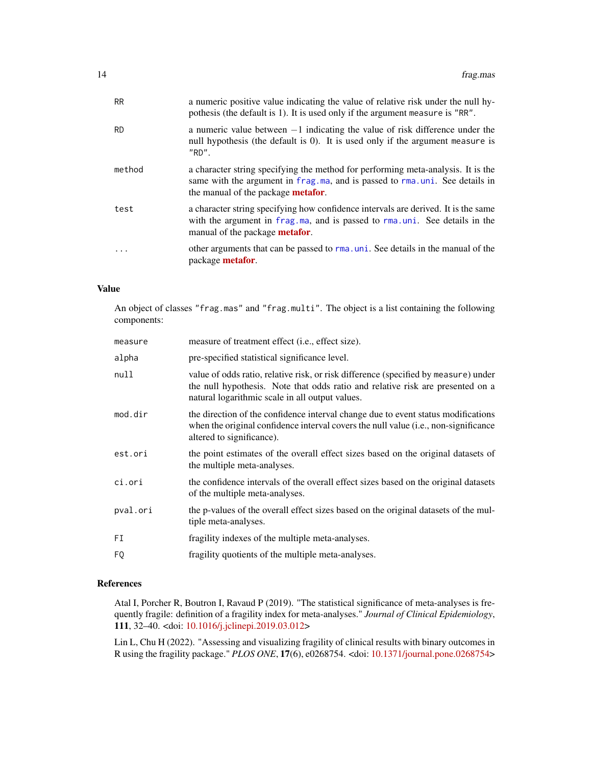<span id="page-13-0"></span>

| <b>RR</b> | a numeric positive value indicating the value of relative risk under the null hy-<br>pothesis (the default is 1). It is used only if the argument measure is "RR".                                            |
|-----------|---------------------------------------------------------------------------------------------------------------------------------------------------------------------------------------------------------------|
| <b>RD</b> | a numeric value between $-1$ indicating the value of risk difference under the<br>null hypothesis (the default is 0). It is used only if the argument measure is<br>"RD".                                     |
| method    | a character string specifying the method for performing meta-analysis. It is the<br>same with the argument in frag.ma, and is passed to rma.uni. See details in<br>the manual of the package <b>metafor</b> . |
| test      | a character string specifying how confidence intervals are derived. It is the same<br>with the argument in frag. ma, and is passed to rma. uni. See details in the<br>manual of the package <b>metafor</b> .  |
|           | other arguments that can be passed to rma, uni. See details in the manual of the<br>package <b>metafor</b> .                                                                                                  |

#### Value

An object of classes "frag.mas" and "frag.multi". The object is a list containing the following components:

| measure of treatment effect (i.e., effect size).                                                                                                                                                                         |
|--------------------------------------------------------------------------------------------------------------------------------------------------------------------------------------------------------------------------|
| pre-specified statistical significance level.                                                                                                                                                                            |
| value of odds ratio, relative risk, or risk difference (specified by measure) under<br>the null hypothesis. Note that odds ratio and relative risk are presented on a<br>natural logarithmic scale in all output values. |
| the direction of the confidence interval change due to event status modifications<br>when the original confidence interval covers the null value (i.e., non-significance<br>altered to significance).                    |
| the point estimates of the overall effect sizes based on the original datasets of<br>the multiple meta-analyses.                                                                                                         |
| the confidence intervals of the overall effect sizes based on the original datasets<br>of the multiple meta-analyses.                                                                                                    |
| the p-values of the overall effect sizes based on the original datasets of the mul-<br>tiple meta-analyses.                                                                                                              |
| fragility indexes of the multiple meta-analyses.                                                                                                                                                                         |
| fragility quotients of the multiple meta-analyses.                                                                                                                                                                       |
|                                                                                                                                                                                                                          |

# References

Atal I, Porcher R, Boutron I, Ravaud P (2019). "The statistical significance of meta-analyses is frequently fragile: definition of a fragility index for meta-analyses." *Journal of Clinical Epidemiology*, 111, 32–40. <doi: [10.1016/j.jclinepi.2019.03.012>](https://doi.org/10.1016/j.jclinepi.2019.03.012)

Lin L, Chu H (2022). "Assessing and visualizing fragility of clinical results with binary outcomes in R using the fragility package." *PLOS ONE*, 17(6), e0268754. <doi: [10.1371/journal.pone.0268754>](https://doi.org/10.1371/journal.pone.0268754)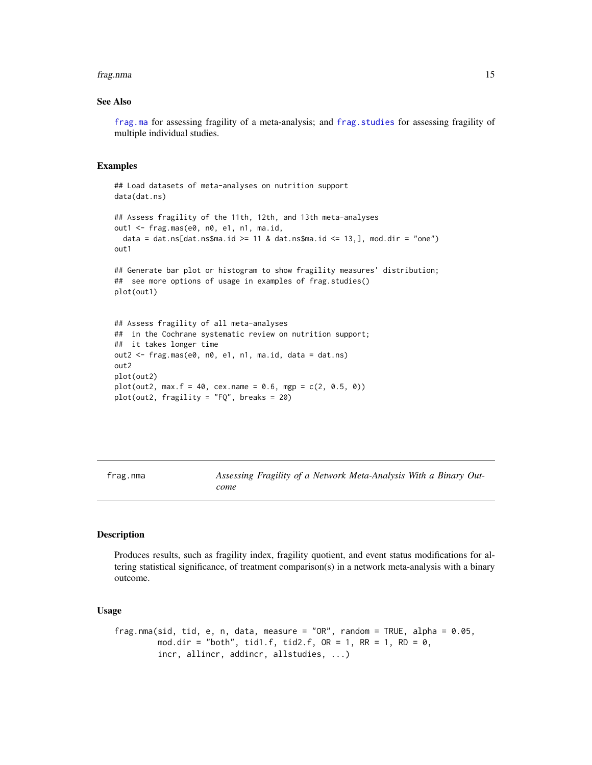#### <span id="page-14-0"></span>frag.nma 15

#### See Also

[frag.ma](#page-4-1) for assessing fragility of a meta-analysis; and [frag.studies](#page-22-1) for assessing fragility of multiple individual studies.

#### Examples

```
## Load datasets of meta-analyses on nutrition support
data(dat.ns)
## Assess fragility of the 11th, 12th, and 13th meta-analyses
out1 <- frag.mas(e0, n0, e1, n1, ma.id,
 data = dat.ns[dat.ns$ma.id >= 11 & dat.ns$ma.id <= 13,], mod.dir = "one")
out1
## Generate bar plot or histogram to show fragility measures' distribution;
## see more options of usage in examples of frag.studies()
plot(out1)
## Assess fragility of all meta-analyses
## in the Cochrane systematic review on nutrition support;
## it takes longer time
out2 <- frag.mas(e0, n0, e1, n1, ma.id, data = dat.ns)
out2
plot(out2)
plot(out2, max.f = 40, cex.name = 0.6, mgp = c(2, 0.5, 0))plot(out2, fragility = "FQ", breaks = 20)
```
<span id="page-14-1"></span>frag.nma *Assessing Fragility of a Network Meta-Analysis With a Binary Outcome*

# Description

Produces results, such as fragility index, fragility quotient, and event status modifications for altering statistical significance, of treatment comparison(s) in a network meta-analysis with a binary outcome.

# Usage

```
frag.nma(sid, tid, e, n, data, measure = "OR", random = TRUE, alpha = 0.05,
        mod.dir = "both", tid1.f, tid2.f, OR = 1, RR = 1, RD = 0,
         incr, allincr, addincr, allstudies, ...)
```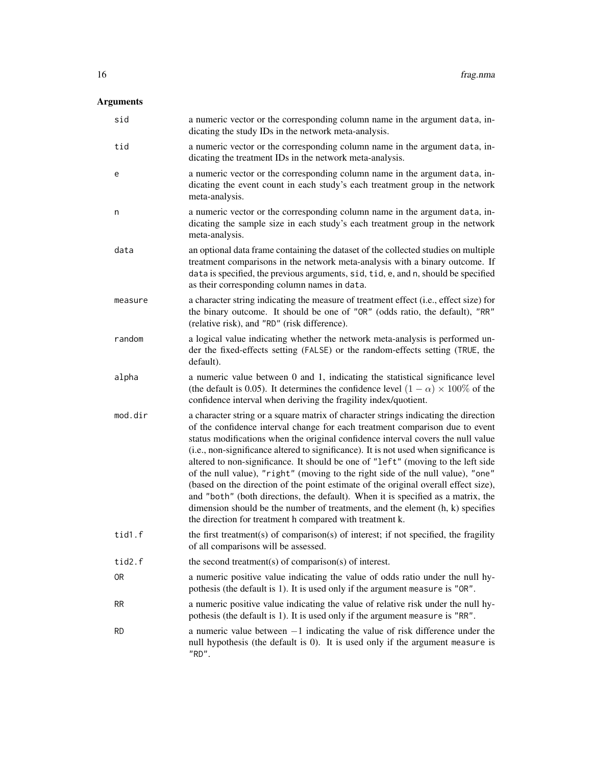| sid            | a numeric vector or the corresponding column name in the argument data, in-<br>dicating the study IDs in the network meta-analysis.                                                                                                                                                                                                                                                                                                                                                                                                                                                                                                                                                                                                                                                                                                                |
|----------------|----------------------------------------------------------------------------------------------------------------------------------------------------------------------------------------------------------------------------------------------------------------------------------------------------------------------------------------------------------------------------------------------------------------------------------------------------------------------------------------------------------------------------------------------------------------------------------------------------------------------------------------------------------------------------------------------------------------------------------------------------------------------------------------------------------------------------------------------------|
| tid            | a numeric vector or the corresponding column name in the argument data, in-<br>dicating the treatment IDs in the network meta-analysis.                                                                                                                                                                                                                                                                                                                                                                                                                                                                                                                                                                                                                                                                                                            |
| e              | a numeric vector or the corresponding column name in the argument data, in-<br>dicating the event count in each study's each treatment group in the network<br>meta-analysis.                                                                                                                                                                                                                                                                                                                                                                                                                                                                                                                                                                                                                                                                      |
| n              | a numeric vector or the corresponding column name in the argument data, in-<br>dicating the sample size in each study's each treatment group in the network<br>meta-analysis.                                                                                                                                                                                                                                                                                                                                                                                                                                                                                                                                                                                                                                                                      |
| data           | an optional data frame containing the dataset of the collected studies on multiple<br>treatment comparisons in the network meta-analysis with a binary outcome. If<br>data is specified, the previous arguments, sid, tid, e, and n, should be specified<br>as their corresponding column names in data.                                                                                                                                                                                                                                                                                                                                                                                                                                                                                                                                           |
| measure        | a character string indicating the measure of treatment effect (i.e., effect size) for<br>the binary outcome. It should be one of "OR" (odds ratio, the default), "RR"<br>(relative risk), and "RD" (risk difference).                                                                                                                                                                                                                                                                                                                                                                                                                                                                                                                                                                                                                              |
| random         | a logical value indicating whether the network meta-analysis is performed un-<br>der the fixed-effects setting (FALSE) or the random-effects setting (TRUE, the<br>default).                                                                                                                                                                                                                                                                                                                                                                                                                                                                                                                                                                                                                                                                       |
| alpha          | a numeric value between 0 and 1, indicating the statistical significance level<br>(the default is 0.05). It determines the confidence level $(1 - \alpha) \times 100\%$ of the<br>confidence interval when deriving the fragility index/quotient.                                                                                                                                                                                                                                                                                                                                                                                                                                                                                                                                                                                                  |
| mod.dir        | a character string or a square matrix of character strings indicating the direction<br>of the confidence interval change for each treatment comparison due to event<br>status modifications when the original confidence interval covers the null value<br>(i.e., non-significance altered to significance). It is not used when significance is<br>altered to non-significance. It should be one of "left" (moving to the left side<br>of the null value), "right" (moving to the right side of the null value), "one"<br>(based on the direction of the point estimate of the original overall effect size),<br>and "both" (both directions, the default). When it is specified as a matrix, the<br>dimension should be the number of treatments, and the element $(h, k)$ specifies<br>the direction for treatment h compared with treatment k. |
| tid1.f         | the first treatment(s) of comparison(s) of interest; if not specified, the fragility<br>of all comparisons will be assessed.                                                                                                                                                                                                                                                                                                                                                                                                                                                                                                                                                                                                                                                                                                                       |
| tid2.f         | the second treatment(s) of comparison(s) of interest.                                                                                                                                                                                                                                                                                                                                                                                                                                                                                                                                                                                                                                                                                                                                                                                              |
| 0 <sub>R</sub> | a numeric positive value indicating the value of odds ratio under the null hy-<br>pothesis (the default is 1). It is used only if the argument measure is "OR".                                                                                                                                                                                                                                                                                                                                                                                                                                                                                                                                                                                                                                                                                    |
| RR             | a numeric positive value indicating the value of relative risk under the null hy-<br>pothesis (the default is 1). It is used only if the argument measure is "RR".                                                                                                                                                                                                                                                                                                                                                                                                                                                                                                                                                                                                                                                                                 |
| <b>RD</b>      | a numeric value between $-1$ indicating the value of risk difference under the<br>null hypothesis (the default is 0). It is used only if the argument measure is<br>"RD".                                                                                                                                                                                                                                                                                                                                                                                                                                                                                                                                                                                                                                                                          |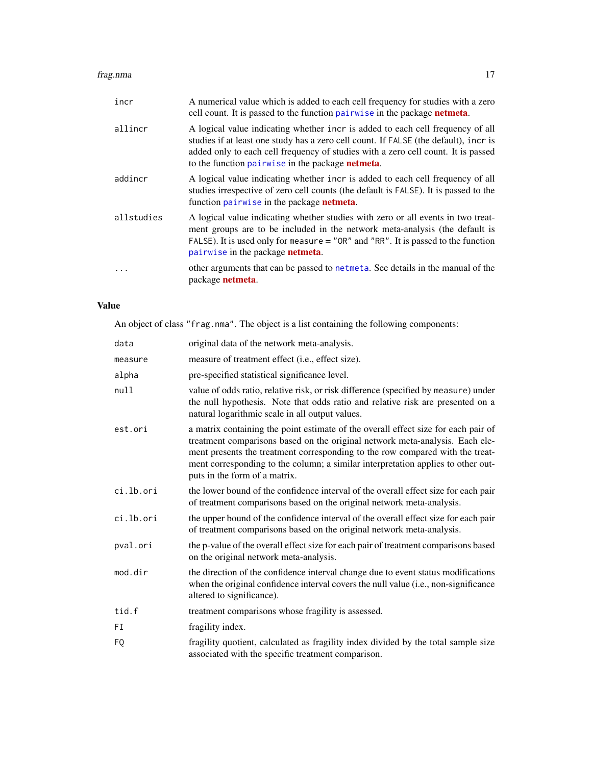#### <span id="page-16-0"></span>frag.nma 17

| incr       | A numerical value which is added to each cell frequency for studies with a zero<br>cell count. It is passed to the function pairwise in the package <b>netmeta</b> .                                                                                                                                                    |
|------------|-------------------------------------------------------------------------------------------------------------------------------------------------------------------------------------------------------------------------------------------------------------------------------------------------------------------------|
| allincr    | A logical value indicating whether incr is added to each cell frequency of all<br>studies if at least one study has a zero cell count. If FALSE (the default), incr is<br>added only to each cell frequency of studies with a zero cell count. It is passed<br>to the function pairwise in the package <b>netmeta</b> . |
| addincr    | A logical value indicating whether incr is added to each cell frequency of all<br>studies irrespective of zero cell counts (the default is FALSE). It is passed to the<br>function pairwise in the package <b>netmeta</b> .                                                                                             |
| allstudies | A logical value indicating whether studies with zero or all events in two treat-<br>ment groups are to be included in the network meta-analysis (the default is<br>FALSE). It is used only for measure $=$ "OR" and "RR". It is passed to the function<br>pairwise in the package netmeta.                              |
|            | other arguments that can be passed to network. See details in the manual of the<br>package <b>netmeta</b> .                                                                                                                                                                                                             |

# Value

An object of class "frag.nma". The object is a list containing the following components:

| data      | original data of the network meta-analysis.                                                                                                                                                                                                                                                                                                                              |
|-----------|--------------------------------------------------------------------------------------------------------------------------------------------------------------------------------------------------------------------------------------------------------------------------------------------------------------------------------------------------------------------------|
| measure   | measure of treatment effect (i.e., effect size).                                                                                                                                                                                                                                                                                                                         |
| alpha     | pre-specified statistical significance level.                                                                                                                                                                                                                                                                                                                            |
| null      | value of odds ratio, relative risk, or risk difference (specified by measure) under<br>the null hypothesis. Note that odds ratio and relative risk are presented on a<br>natural logarithmic scale in all output values.                                                                                                                                                 |
| est.ori   | a matrix containing the point estimate of the overall effect size for each pair of<br>treatment comparisons based on the original network meta-analysis. Each ele-<br>ment presents the treatment corresponding to the row compared with the treat-<br>ment corresponding to the column; a similar interpretation applies to other out-<br>puts in the form of a matrix. |
| ci.lb.ori | the lower bound of the confidence interval of the overall effect size for each pair<br>of treatment comparisons based on the original network meta-analysis.                                                                                                                                                                                                             |
| ci.lb.ori | the upper bound of the confidence interval of the overall effect size for each pair<br>of treatment comparisons based on the original network meta-analysis.                                                                                                                                                                                                             |
| pval.ori  | the p-value of the overall effect size for each pair of treatment comparisons based<br>on the original network meta-analysis.                                                                                                                                                                                                                                            |
| mod.dir   | the direction of the confidence interval change due to event status modifications<br>when the original confidence interval covers the null value (i.e., non-significance<br>altered to significance).                                                                                                                                                                    |
| tid.f     | treatment comparisons whose fragility is assessed.                                                                                                                                                                                                                                                                                                                       |
| FI        | fragility index.                                                                                                                                                                                                                                                                                                                                                         |
| F0        | fragility quotient, calculated as fragility index divided by the total sample size<br>associated with the specific treatment comparison.                                                                                                                                                                                                                                 |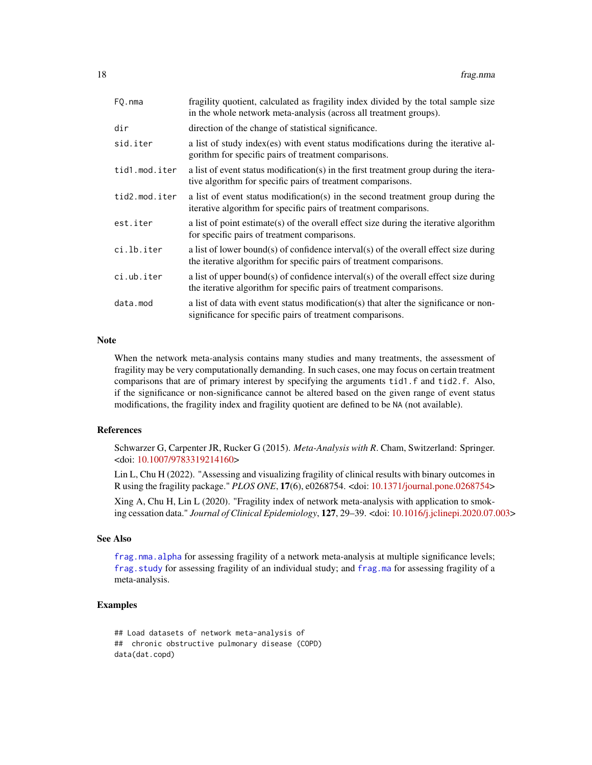<span id="page-17-0"></span>

| FO.nma        | fragility quotient, calculated as fragility index divided by the total sample size<br>in the whole network meta-analysis (across all treatment groups).      |
|---------------|--------------------------------------------------------------------------------------------------------------------------------------------------------------|
| dir           | direction of the change of statistical significance.                                                                                                         |
| sid.iter      | a list of study index (es) with event status modifications during the iterative al-<br>gorithm for specific pairs of treatment comparisons.                  |
| tid1.mod.iter | a list of event status modification(s) in the first treatment group during the itera-<br>tive algorithm for specific pairs of treatment comparisons.         |
| tid2.mod.iter | a list of event status modification(s) in the second treatment group during the<br>iterative algorithm for specific pairs of treatment comparisons.          |
| est.iter      | a list of point estimate(s) of the overall effect size during the iterative algorithm<br>for specific pairs of treatment comparisons.                        |
| ci.lb.iter    | a list of lower bound(s) of confidence interval(s) of the overall effect size during<br>the iterative algorithm for specific pairs of treatment comparisons. |
| ci.ub.iter    | a list of upper bound(s) of confidence interval(s) of the overall effect size during<br>the iterative algorithm for specific pairs of treatment comparisons. |
| data.mod      | a list of data with event status modification(s) that alter the significance or non-<br>significance for specific pairs of treatment comparisons.            |

#### Note

When the network meta-analysis contains many studies and many treatments, the assessment of fragility may be very computationally demanding. In such cases, one may focus on certain treatment comparisons that are of primary interest by specifying the arguments tid1.f and tid2.f. Also, if the significance or non-significance cannot be altered based on the given range of event status modifications, the fragility index and fragility quotient are defined to be NA (not available).

#### References

Schwarzer G, Carpenter JR, Rucker G (2015). *Meta-Analysis with R*. Cham, Switzerland: Springer. <doi: [10.1007/9783319214160>](https://doi.org/10.1007/978-3-319-21416-0)

Lin L, Chu H (2022). "Assessing and visualizing fragility of clinical results with binary outcomes in R using the fragility package." *PLOS ONE*, 17(6), e0268754. <doi: [10.1371/journal.pone.0268754>](https://doi.org/10.1371/journal.pone.0268754)

Xing A, Chu H, Lin L (2020). "Fragility index of network meta-analysis with application to smoking cessation data." *Journal of Clinical Epidemiology*, 127, 29–39. <doi: [10.1016/j.jclinepi.2020.07.003>](https://doi.org/10.1016/j.jclinepi.2020.07.003)

# See Also

[frag.nma.alpha](#page-19-1) for assessing fragility of a network meta-analysis at multiple significance levels; [frag.study](#page-26-1) for assessing fragility of an individual study; and [frag.ma](#page-4-1) for assessing fragility of a meta-analysis.

# Examples

## Load datasets of network meta-analysis of ## chronic obstructive pulmonary disease (COPD) data(dat.copd)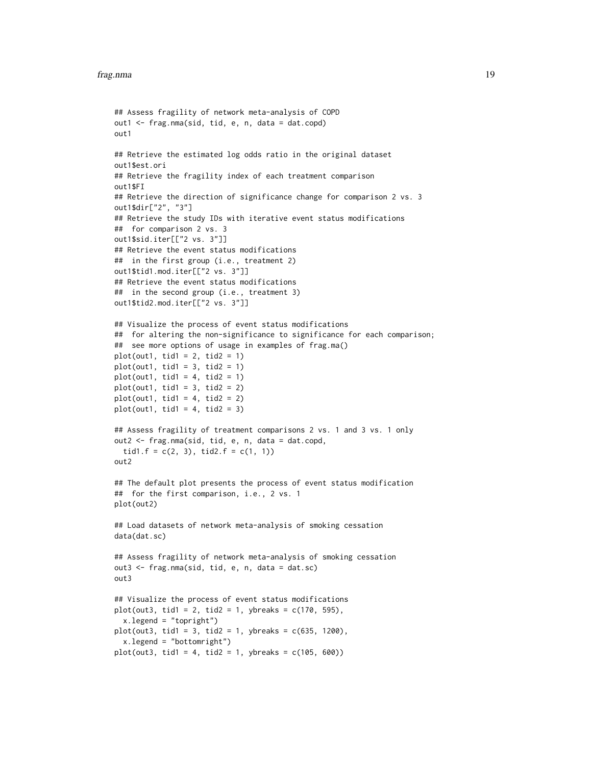```
## Assess fragility of network meta-analysis of COPD
out1 <- frag.nma(sid, tid, e, n, data = dat.copd)
out1
## Retrieve the estimated log odds ratio in the original dataset
out1$est.ori
## Retrieve the fragility index of each treatment comparison
out1$FI
## Retrieve the direction of significance change for comparison 2 vs. 3
out1$dir["2", "3"]
## Retrieve the study IDs with iterative event status modifications
## for comparison 2 vs. 3
out1$sid.iter[["2 vs. 3"]]
## Retrieve the event status modifications
## in the first group (i.e., treatment 2)
out1$tid1.mod.iter[["2 vs. 3"]]
## Retrieve the event status modifications
## in the second group (i.e., treatment 3)
out1$tid2.mod.iter[["2 vs. 3"]]
## Visualize the process of event status modifications
## for altering the non-significance to significance for each comparison;
## see more options of usage in examples of frag.ma()
plot(out1, tid1 = 2, tid2 = 1)plot(out1, tid1 = 3, tid2 = 1)plot(out1, tid1 = 4, tid2 = 1)
plot(out1, tid1 = 3, tid2 = 2)plot(out1, tid1 = 4, tid2 = 2)plot(out1, tid1 = 4, tid2 = 3)## Assess fragility of treatment comparisons 2 vs. 1 and 3 vs. 1 only
out2 <- frag.nma(sid, tid, e, n, data = dat.copd,
  tid1.f = c(2, 3), tid2.f = c(1, 1))
out2
## The default plot presents the process of event status modification
## for the first comparison, i.e., 2 vs. 1
plot(out2)
## Load datasets of network meta-analysis of smoking cessation
data(dat.sc)
## Assess fragility of network meta-analysis of smoking cessation
out3 <- frag.nma(sid, tid, e, n, data = dat.sc)
out3
## Visualize the process of event status modifications
plot(out3, tid1 = 2, tid2 = 1, ybreaks = c(170, 595),x.legend = "topright")
plot(out3, tid1 = 3, tid2 = 1, ybreaks = c(635, 1200),x.legend = "bottomright")
plot(out3, tid1 = 4, tid2 = 1, ybreaks = c(105, 600))
```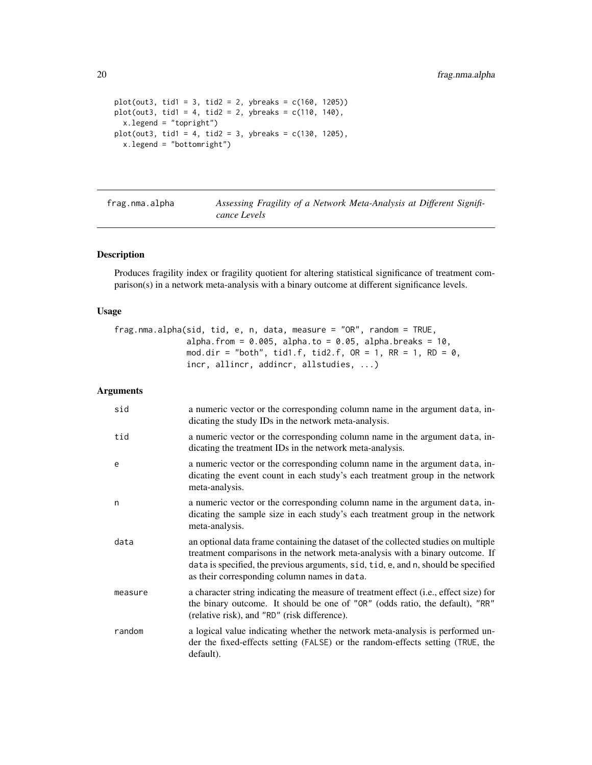```
plot(out3, tid1 = 3, tid2 = 2, ybreaks = c(160, 1205))plot(out3, tid1 = 4, tid2 = 2, ybreaks = c(110, 140),x.legend = "topright")
plot(out3, tid1 = 4, tid2 = 3, ybreaks = c(130, 1205),x.legend = "bottomright")
```
<span id="page-19-1"></span>

frag.nma.alpha *Assessing Fragility of a Network Meta-Analysis at Different Significance Levels*

# Description

Produces fragility index or fragility quotient for altering statistical significance of treatment comparison(s) in a network meta-analysis with a binary outcome at different significance levels.

#### Usage

frag.nma.alpha(sid, tid, e, n, data, measure = "OR", random = TRUE, alpha.from =  $0.005$ , alpha.to =  $0.05$ , alpha.breaks =  $10$ , mod.dir = "both", tid1.f, tid2.f,  $OR = 1$ ,  $RR = 1$ ,  $RD = 0$ , incr, allincr, addincr, allstudies, ...)

| sid     | a numeric vector or the corresponding column name in the argument data, in-<br>dicating the study IDs in the network meta-analysis.                                                                                                                                                                      |
|---------|----------------------------------------------------------------------------------------------------------------------------------------------------------------------------------------------------------------------------------------------------------------------------------------------------------|
| tid     | a numeric vector or the corresponding column name in the argument data, in-<br>dicating the treatment IDs in the network meta-analysis.                                                                                                                                                                  |
| e       | a numeric vector or the corresponding column name in the argument data, in-<br>dicating the event count in each study's each treatment group in the network<br>meta-analysis.                                                                                                                            |
| n       | a numeric vector or the corresponding column name in the argument data, in-<br>dicating the sample size in each study's each treatment group in the network<br>meta-analysis.                                                                                                                            |
| data    | an optional data frame containing the dataset of the collected studies on multiple<br>treatment comparisons in the network meta-analysis with a binary outcome. If<br>data is specified, the previous arguments, sid, tid, e, and n, should be specified<br>as their corresponding column names in data. |
| measure | a character string indicating the measure of treatment effect (i.e., effect size) for<br>the binary outcome. It should be one of "OR" (odds ratio, the default), "RR"<br>(relative risk), and "RD" (risk difference).                                                                                    |
| random  | a logical value indicating whether the network meta-analysis is performed un-<br>der the fixed-effects setting (FALSE) or the random-effects setting (TRUE, the<br>default).                                                                                                                             |

<span id="page-19-0"></span>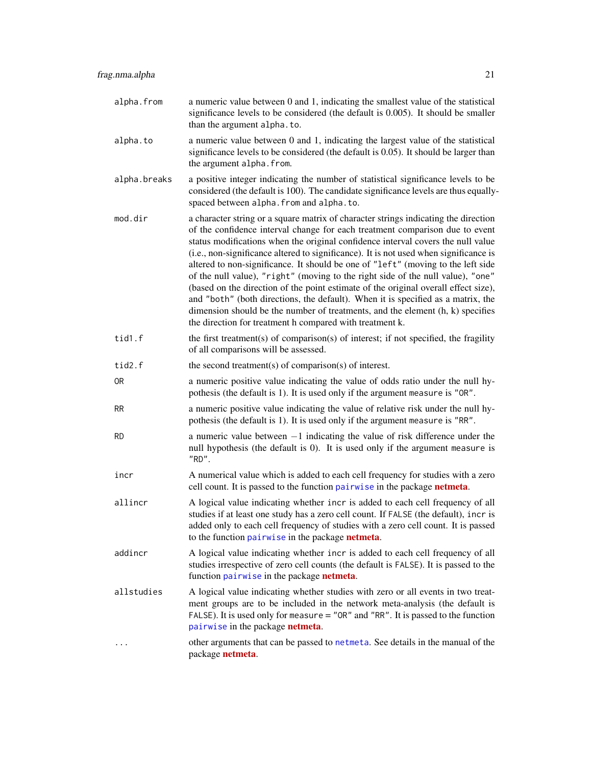<span id="page-20-0"></span>

| alpha.from   | a numeric value between 0 and 1, indicating the smallest value of the statistical<br>significance levels to be considered (the default is 0.005). It should be smaller<br>than the argument alpha.to.                                                                                                                                                                                                                                                                                                                                                                                                                                                                                                                                                                                                                                            |
|--------------|--------------------------------------------------------------------------------------------------------------------------------------------------------------------------------------------------------------------------------------------------------------------------------------------------------------------------------------------------------------------------------------------------------------------------------------------------------------------------------------------------------------------------------------------------------------------------------------------------------------------------------------------------------------------------------------------------------------------------------------------------------------------------------------------------------------------------------------------------|
| alpha.to     | a numeric value between 0 and 1, indicating the largest value of the statistical<br>significance levels to be considered (the default is 0.05). It should be larger than<br>the argument alpha. from.                                                                                                                                                                                                                                                                                                                                                                                                                                                                                                                                                                                                                                            |
| alpha.breaks | a positive integer indicating the number of statistical significance levels to be<br>considered (the default is 100). The candidate significance levels are thus equally-<br>spaced between alpha. from and alpha. to.                                                                                                                                                                                                                                                                                                                                                                                                                                                                                                                                                                                                                           |
| mod.dir      | a character string or a square matrix of character strings indicating the direction<br>of the confidence interval change for each treatment comparison due to event<br>status modifications when the original confidence interval covers the null value<br>(i.e., non-significance altered to significance). It is not used when significance is<br>altered to non-significance. It should be one of "left" (moving to the left side<br>of the null value), "right" (moving to the right side of the null value), "one"<br>(based on the direction of the point estimate of the original overall effect size),<br>and "both" (both directions, the default). When it is specified as a matrix, the<br>dimension should be the number of treatments, and the element (h, k) specifies<br>the direction for treatment h compared with treatment k. |
| tid1.f       | the first treatment(s) of comparison(s) of interest; if not specified, the fragility<br>of all comparisons will be assessed.                                                                                                                                                                                                                                                                                                                                                                                                                                                                                                                                                                                                                                                                                                                     |
| tid2.f       | the second treatment(s) of comparison(s) of interest.                                                                                                                                                                                                                                                                                                                                                                                                                                                                                                                                                                                                                                                                                                                                                                                            |
| 0R           | a numeric positive value indicating the value of odds ratio under the null hy-<br>pothesis (the default is 1). It is used only if the argument measure is "OR".                                                                                                                                                                                                                                                                                                                                                                                                                                                                                                                                                                                                                                                                                  |
| <b>RR</b>    | a numeric positive value indicating the value of relative risk under the null hy-<br>pothesis (the default is 1). It is used only if the argument measure is "RR".                                                                                                                                                                                                                                                                                                                                                                                                                                                                                                                                                                                                                                                                               |
| <b>RD</b>    | a numeric value between $-1$ indicating the value of risk difference under the<br>null hypothesis (the default is 0). It is used only if the argument measure is<br>"RD".                                                                                                                                                                                                                                                                                                                                                                                                                                                                                                                                                                                                                                                                        |
| incr         | A numerical value which is added to each cell frequency for studies with a zero<br>cell count. It is passed to the function pairwise in the package netmeta.                                                                                                                                                                                                                                                                                                                                                                                                                                                                                                                                                                                                                                                                                     |
| allincr      | A logical value indicating whether incr is added to each cell frequency of all<br>studies if at least one study has a zero cell count. If FALSE (the default), incr is<br>added only to each cell frequency of studies with a zero cell count. It is passed<br>to the function pairwise in the package <b>netmeta</b> .                                                                                                                                                                                                                                                                                                                                                                                                                                                                                                                          |
| addincr      | A logical value indicating whether incr is added to each cell frequency of all<br>studies irrespective of zero cell counts (the default is FALSE). It is passed to the<br>function pairwise in the package netmeta.                                                                                                                                                                                                                                                                                                                                                                                                                                                                                                                                                                                                                              |
| allstudies   | A logical value indicating whether studies with zero or all events in two treat-<br>ment groups are to be included in the network meta-analysis (the default is<br>FALSE). It is used only for measure $=$ "OR" and "RR". It is passed to the function<br>pairwise in the package netmeta.                                                                                                                                                                                                                                                                                                                                                                                                                                                                                                                                                       |
|              | other arguments that can be passed to net meta. See details in the manual of the<br>package netmeta.                                                                                                                                                                                                                                                                                                                                                                                                                                                                                                                                                                                                                                                                                                                                             |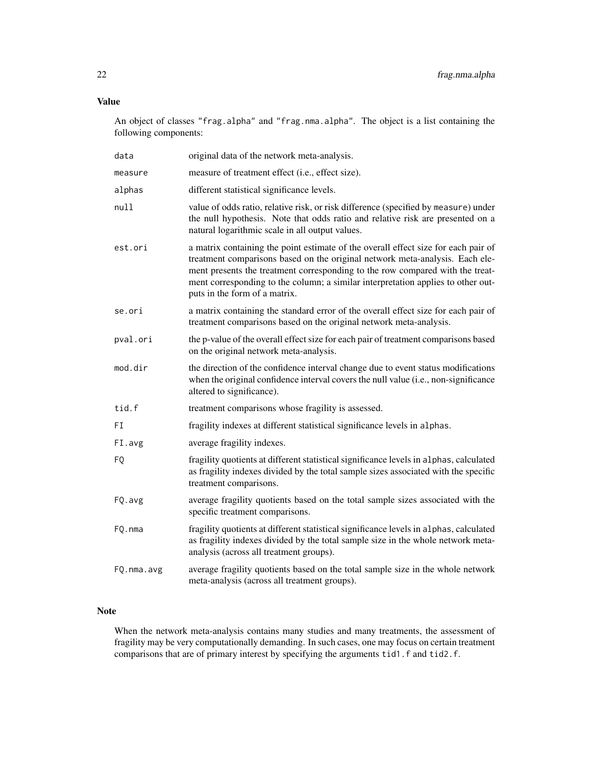# Value

An object of classes "frag.alpha" and "frag.nma.alpha". The object is a list containing the following components:

| data       | original data of the network meta-analysis.                                                                                                                                                                                                                                                                                                                              |
|------------|--------------------------------------------------------------------------------------------------------------------------------------------------------------------------------------------------------------------------------------------------------------------------------------------------------------------------------------------------------------------------|
| measure    | measure of treatment effect (i.e., effect size).                                                                                                                                                                                                                                                                                                                         |
| alphas     | different statistical significance levels.                                                                                                                                                                                                                                                                                                                               |
| null       | value of odds ratio, relative risk, or risk difference (specified by measure) under<br>the null hypothesis. Note that odds ratio and relative risk are presented on a<br>natural logarithmic scale in all output values.                                                                                                                                                 |
| est.ori    | a matrix containing the point estimate of the overall effect size for each pair of<br>treatment comparisons based on the original network meta-analysis. Each ele-<br>ment presents the treatment corresponding to the row compared with the treat-<br>ment corresponding to the column; a similar interpretation applies to other out-<br>puts in the form of a matrix. |
| se.ori     | a matrix containing the standard error of the overall effect size for each pair of<br>treatment comparisons based on the original network meta-analysis.                                                                                                                                                                                                                 |
| pval.ori   | the p-value of the overall effect size for each pair of treatment comparisons based<br>on the original network meta-analysis.                                                                                                                                                                                                                                            |
| mod.dir    | the direction of the confidence interval change due to event status modifications<br>when the original confidence interval covers the null value (i.e., non-significance<br>altered to significance).                                                                                                                                                                    |
| tid.f      | treatment comparisons whose fragility is assessed.                                                                                                                                                                                                                                                                                                                       |
| FI         | fragility indexes at different statistical significance levels in alphas.                                                                                                                                                                                                                                                                                                |
| FI.avg     | average fragility indexes.                                                                                                                                                                                                                                                                                                                                               |
| FQ         | fragility quotients at different statistical significance levels in alphas, calculated<br>as fragility indexes divided by the total sample sizes associated with the specific<br>treatment comparisons.                                                                                                                                                                  |
| FQ.avg     | average fragility quotients based on the total sample sizes associated with the<br>specific treatment comparisons.                                                                                                                                                                                                                                                       |
| FQ.nma     | fragility quotients at different statistical significance levels in alphas, calculated<br>as fragility indexes divided by the total sample size in the whole network meta-<br>analysis (across all treatment groups).                                                                                                                                                    |
| FQ.nma.avg | average fragility quotients based on the total sample size in the whole network<br>meta-analysis (across all treatment groups).                                                                                                                                                                                                                                          |

# Note

When the network meta-analysis contains many studies and many treatments, the assessment of fragility may be very computationally demanding. In such cases, one may focus on certain treatment comparisons that are of primary interest by specifying the arguments tid1.f and tid2.f.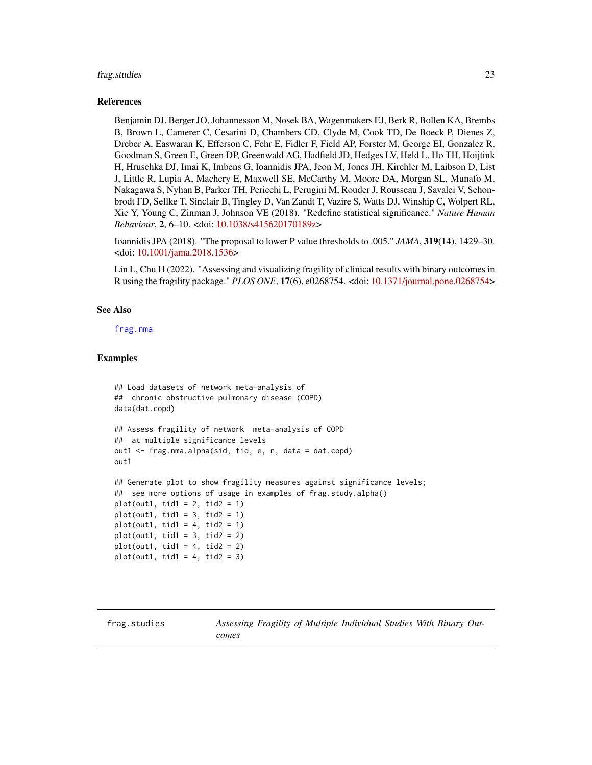#### <span id="page-22-0"></span>frag.studies 23

#### References

Benjamin DJ, Berger JO, Johannesson M, Nosek BA, Wagenmakers EJ, Berk R, Bollen KA, Brembs B, Brown L, Camerer C, Cesarini D, Chambers CD, Clyde M, Cook TD, De Boeck P, Dienes Z, Dreber A, Easwaran K, Efferson C, Fehr E, Fidler F, Field AP, Forster M, George EI, Gonzalez R, Goodman S, Green E, Green DP, Greenwald AG, Hadfield JD, Hedges LV, Held L, Ho TH, Hoijtink H, Hruschka DJ, Imai K, Imbens G, Ioannidis JPA, Jeon M, Jones JH, Kirchler M, Laibson D, List J, Little R, Lupia A, Machery E, Maxwell SE, McCarthy M, Moore DA, Morgan SL, Munafo M, Nakagawa S, Nyhan B, Parker TH, Pericchi L, Perugini M, Rouder J, Rousseau J, Savalei V, Schonbrodt FD, Sellke T, Sinclair B, Tingley D, Van Zandt T, Vazire S, Watts DJ, Winship C, Wolpert RL, Xie Y, Young C, Zinman J, Johnson VE (2018). "Redefine statistical significance." *Nature Human Behaviour*, 2, 6–10. <doi: [10.1038/s415620170189z>](https://doi.org/10.1038/s41562-017-0189-z)

Ioannidis JPA (2018). "The proposal to lower P value thresholds to .005." *JAMA*, 319(14), 1429–30. <doi: [10.1001/jama.2018.1536>](https://doi.org/10.1001/jama.2018.1536)

Lin L, Chu H (2022). "Assessing and visualizing fragility of clinical results with binary outcomes in R using the fragility package." *PLOS ONE*, 17(6), e0268754. <doi: [10.1371/journal.pone.0268754>](https://doi.org/10.1371/journal.pone.0268754)

#### See Also

[frag.nma](#page-14-1)

#### Examples

```
## Load datasets of network meta-analysis of
## chronic obstructive pulmonary disease (COPD)
data(dat.copd)
## Assess fragility of network meta-analysis of COPD
## at multiple significance levels
out1 <- frag.nma.alpha(sid, tid, e, n, data = dat.copd)
out1
## Generate plot to show fragility measures against significance levels;
## see more options of usage in examples of frag.study.alpha()
plot(out1, tid1 = 2, tid2 = 1)
plot(out1, tid1 = 3, tid2 = 1)plot(out1, tid1 = 4, tid2 = 1)
```

```
plot(out1, tid1 = 3, tid2 = 2)plot(out1, tid1 = 4, tid2 = 2)plot(out1, tid1 = 4, tid2 = 3)
```
<span id="page-22-1"></span>frag.studies *Assessing Fragility of Multiple Individual Studies With Binary Outcomes*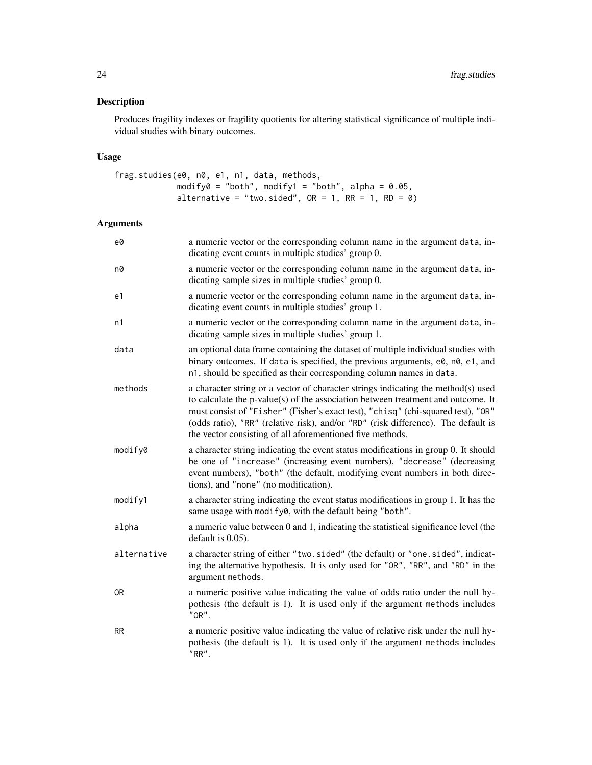# Description

Produces fragility indexes or fragility quotients for altering statistical significance of multiple individual studies with binary outcomes.

# Usage

```
frag.studies(e0, n0, e1, n1, data, methods,
            modify0 = "both", modify1 = "both", alpha = 0.05,
            alternative = "two.sided", OR = 1, RR = 1, RD = 0)
```

| e0          | a numeric vector or the corresponding column name in the argument data, in-<br>dicating event counts in multiple studies' group 0.                                                                                                                                                                                                                                                                          |
|-------------|-------------------------------------------------------------------------------------------------------------------------------------------------------------------------------------------------------------------------------------------------------------------------------------------------------------------------------------------------------------------------------------------------------------|
| n0          | a numeric vector or the corresponding column name in the argument data, in-<br>dicating sample sizes in multiple studies' group 0.                                                                                                                                                                                                                                                                          |
| e1          | a numeric vector or the corresponding column name in the argument data, in-<br>dicating event counts in multiple studies' group 1.                                                                                                                                                                                                                                                                          |
| n1          | a numeric vector or the corresponding column name in the argument data, in-<br>dicating sample sizes in multiple studies' group 1.                                                                                                                                                                                                                                                                          |
| data        | an optional data frame containing the dataset of multiple individual studies with<br>binary outcomes. If data is specified, the previous arguments, e0, n0, e1, and<br>n1, should be specified as their corresponding column names in data.                                                                                                                                                                 |
| methods     | a character string or a vector of character strings indicating the method(s) used<br>to calculate the p-value(s) of the association between treatment and outcome. It<br>must consist of "Fisher" (Fisher's exact test), "chisq" (chi-squared test), "OR"<br>(odds ratio), "RR" (relative risk), and/or "RD" (risk difference). The default is<br>the vector consisting of all aforementioned five methods. |
| modify0     | a character string indicating the event status modifications in group 0. It should<br>be one of "increase" (increasing event numbers), "decrease" (decreasing<br>event numbers), "both" (the default, modifying event numbers in both direc-<br>tions), and "none" (no modification).                                                                                                                       |
| modify1     | a character string indicating the event status modifications in group 1. It has the<br>same usage with modify0, with the default being "both".                                                                                                                                                                                                                                                              |
| alpha       | a numeric value between 0 and 1, indicating the statistical significance level (the<br>default is 0.05).                                                                                                                                                                                                                                                                                                    |
| alternative | a character string of either "two.sided" (the default) or "one.sided", indicat-<br>ing the alternative hypothesis. It is only used for "OR", "RR", and "RD" in the<br>argument methods.                                                                                                                                                                                                                     |
| 0R          | a numeric positive value indicating the value of odds ratio under the null hy-<br>pothesis (the default is 1). It is used only if the argument methods includes<br>"OR".                                                                                                                                                                                                                                    |
| <b>RR</b>   | a numeric positive value indicating the value of relative risk under the null hy-<br>pothesis (the default is 1). It is used only if the argument methods includes<br>$"RR"$ .                                                                                                                                                                                                                              |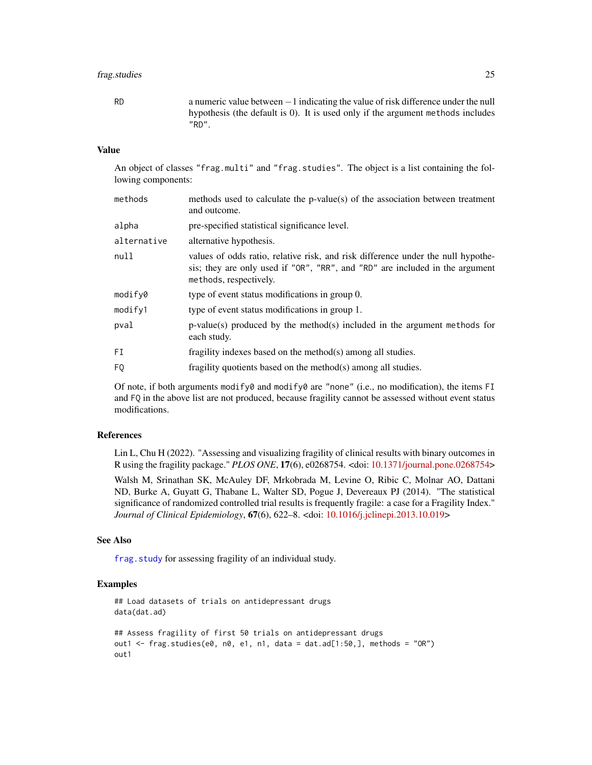# <span id="page-24-0"></span>frag.studies 25

RD a numeric value between −1 indicating the value of risk difference under the null hypothesis (the default is 0). It is used only if the argument methods includes "RD".

#### Value

An object of classes "frag.multi" and "frag.studies". The object is a list containing the following components:

| methods     | methods used to calculate the p-value(s) of the association between treatment<br>and outcome.                                                                                              |
|-------------|--------------------------------------------------------------------------------------------------------------------------------------------------------------------------------------------|
| alpha       | pre-specified statistical significance level.                                                                                                                                              |
| alternative | alternative hypothesis.                                                                                                                                                                    |
| null        | values of odds ratio, relative risk, and risk difference under the null hypothe-<br>sis; they are only used if "OR", "RR", and "RD" are included in the argument<br>methods, respectively. |
| modify0     | type of event status modifications in group 0.                                                                                                                                             |
| modify1     | type of event status modifications in group 1.                                                                                                                                             |
| pval        | $p-value(s)$ produced by the method(s) included in the argument methods for<br>each study.                                                                                                 |
| FI          | fragility indexes based on the method(s) among all studies.                                                                                                                                |
| FQ          | fragility quotients based on the method(s) among all studies.                                                                                                                              |
|             |                                                                                                                                                                                            |

Of note, if both arguments modify0 and modify0 are "none" (i.e., no modification), the items FI and FQ in the above list are not produced, because fragility cannot be assessed without event status modifications.

# References

Lin L, Chu H (2022). "Assessing and visualizing fragility of clinical results with binary outcomes in R using the fragility package." *PLOS ONE*, 17(6), e0268754. <doi: [10.1371/journal.pone.0268754>](https://doi.org/10.1371/journal.pone.0268754)

Walsh M, Srinathan SK, McAuley DF, Mrkobrada M, Levine O, Ribic C, Molnar AO, Dattani ND, Burke A, Guyatt G, Thabane L, Walter SD, Pogue J, Devereaux PJ (2014). "The statistical significance of randomized controlled trial results is frequently fragile: a case for a Fragility Index." *Journal of Clinical Epidemiology*, 67(6), 622–8. <doi: [10.1016/j.jclinepi.2013.10.019>](https://doi.org/10.1016/j.jclinepi.2013.10.019)

#### See Also

[frag.study](#page-26-1) for assessing fragility of an individual study.

#### Examples

```
## Load datasets of trials on antidepressant drugs
data(dat.ad)
## Assess fragility of first 50 trials on antidepressant drugs
out1 <- frag.studies(e0, n0, e1, n1, data = dat.ad[1:50,], methods = "OR")
out1
```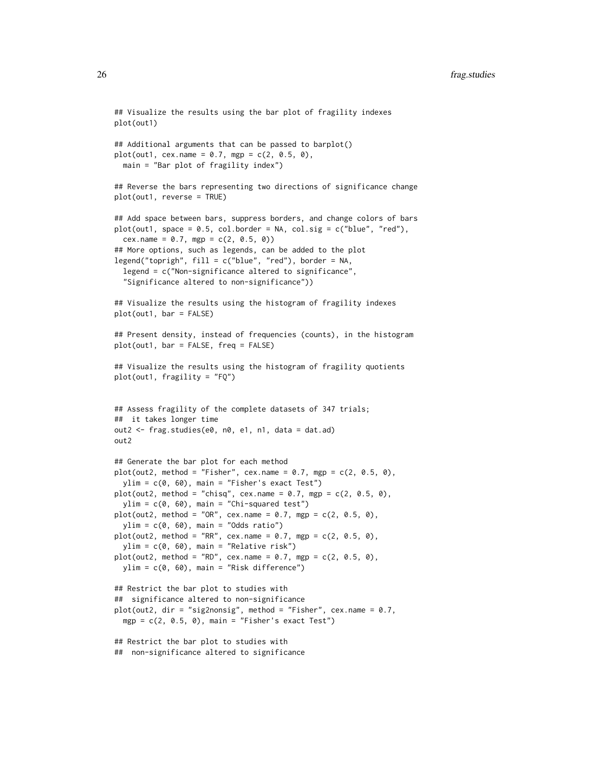```
## Visualize the results using the bar plot of fragility indexes
plot(out1)
## Additional arguments that can be passed to barplot()
plot(out1, cex.name = 0.7, mgp = c(2, 0.5, 0),main = "Bar plot of fragility index")
## Reverse the bars representing two directions of significance change
plot(out1, reverse = TRUE)
## Add space between bars, suppress borders, and change colors of bars
plot(out1, space = 0.5, col.border = NA, col.sig = c("blue", "red"),
 cex.name = 0.7, mgp = c(2, 0.5, 0)## More options, such as legends, can be added to the plot
legend("toprigh", fill = c("blue", "red"), border = NA,
 legend = c("Non-significance altered to significance",
  "Significance altered to non-significance"))
## Visualize the results using the histogram of fragility indexes
plot(out1, bar = FALSE)
## Present density, instead of frequencies (counts), in the histogram
plot(out1, bar = FALSE, freq = FALSE)
## Visualize the results using the histogram of fragility quotients
plot(out1, fragility = "FQ")
## Assess fragility of the complete datasets of 347 trials;
## it takes longer time
out2 <- frag.studies(e0, n0, e1, n1, data = dat.ad)
out2
## Generate the bar plot for each method
plot(out2, method = "Fisher", cex.name = 0.7, mgp = c(2, 0.5, 0),ylim = c(0, 60), main = "Fisher's exact Test")
plot(out2, method = "chisq", cex.name = 0.7, mgp = c(2, 0.5, 0),ylim = c(0, 60), main = "Chi-squared test")
plot(out2, method = "OR", cex.name = 0.7, mgp = c(2, 0.5, 0),ylim = c(0, 60), main = "Odds ratio")
plot(out2, method = "RR", cex.name = 0.7, mgp = c(2, 0.5, 0),ylim = c(0, 60), main = "Relative risk")
plot(out2, method = "RD", cex.name = 0.7, mgp = c(2, 0.5, 0),ylim = c(0, 60), main = "Risk difference")
## Restrict the bar plot to studies with
## significance altered to non-significance
plot(out2, dir = "sig2nonsig", method = "Fisher", cex.name = 0.7,
 mgp = c(2, 0.5, 0), main = "Fisher's exact Test")
## Restrict the bar plot to studies with
## non-significance altered to significance
```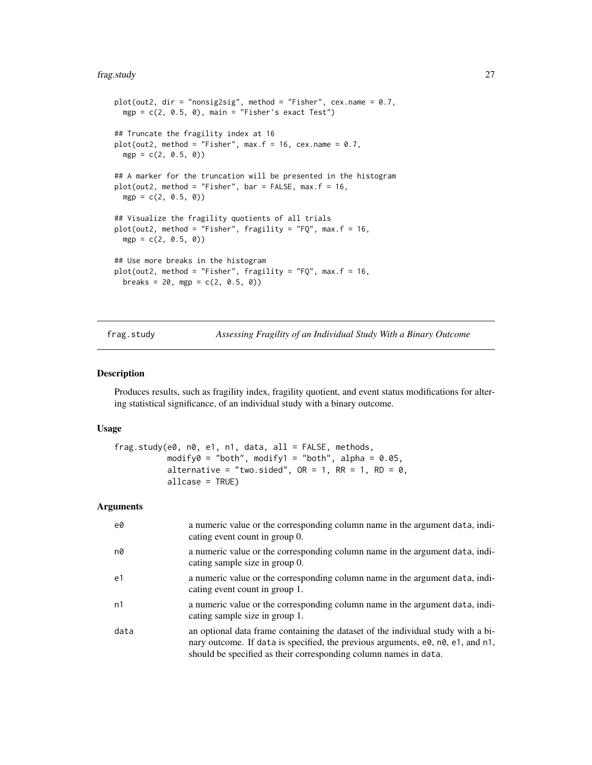#### <span id="page-26-0"></span>frag.study 27

```
plot(out2, dir = "nonsig2sig", method = "Fisher", cex.name = 0.7,
 mgp = c(2, 0.5, 0), main = "Fisher's exact Test")
## Truncate the fragility index at 16
plot(out2, method = "Fisher", max.f = 16, cex.name = 0.7,
  mgp = c(2, 0.5, 0)## A marker for the truncation will be presented in the histogram
plot(out2, method = "Fisher", bar = FALSE, max.f = 16,mgp = c(2, 0.5, 0)## Visualize the fragility quotients of all trials
plot(out2, method = "Fisher", fragility = "FQ", max.f = 16,
  mgp = c(2, 0.5, 0)## Use more breaks in the histogram
plot(out2, method = "Fisher", fragility = "FQ", max.f = 16,
  breaks = 20, mgp = c(2, 0.5, 0))
```
<span id="page-26-1"></span>

frag.study *Assessing Fragility of an Individual Study With a Binary Outcome*

#### Description

Produces results, such as fragility index, fragility quotient, and event status modifications for altering statistical significance, of an individual study with a binary outcome.

#### Usage

```
frag. study(e0, n0, e1, n1, data, all = FALSE, methods,modify0 = "both", modify1 = "both", alpha = 0.05,
           alternative = "two.sided", OR = 1, RR = 1, RD = 0,
           allcase = TRUE)
```

| e0             | a numeric value or the corresponding column name in the argument data, indi-<br>cating event count in group 0.                                                                                                                          |
|----------------|-----------------------------------------------------------------------------------------------------------------------------------------------------------------------------------------------------------------------------------------|
| n0             | a numeric value or the corresponding column name in the argument data, indi-<br>cating sample size in group 0.                                                                                                                          |
| e <sub>1</sub> | a numeric value or the corresponding column name in the argument data, indi-<br>cating event count in group 1.                                                                                                                          |
| n1             | a numeric value or the corresponding column name in the argument data, indi-<br>cating sample size in group 1.                                                                                                                          |
| data           | an optional data frame containing the dataset of the individual study with a bi-<br>nary outcome. If data is specified, the previous arguments, e0, n0, e1, and n1,<br>should be specified as their corresponding column names in data. |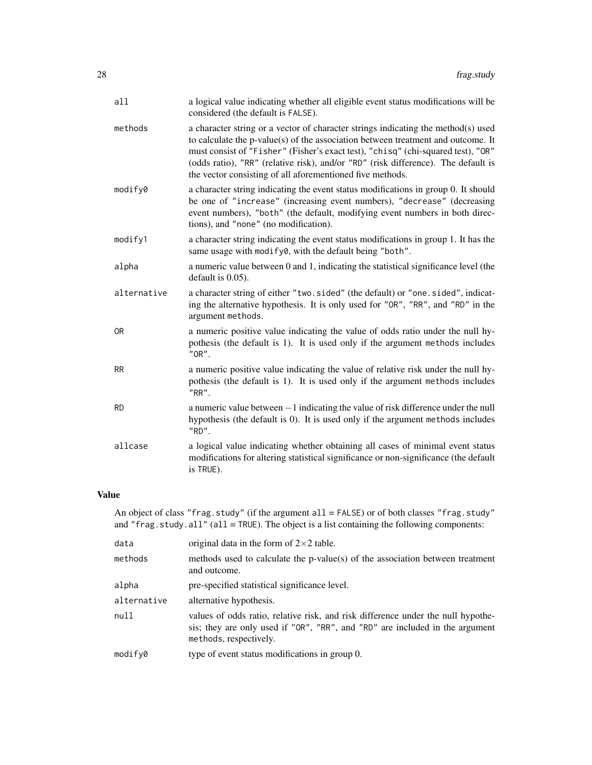| all            | a logical value indicating whether all eligible event status modifications will be<br>considered (the default is FALSE).                                                                                                                                                                                                                                                                                    |
|----------------|-------------------------------------------------------------------------------------------------------------------------------------------------------------------------------------------------------------------------------------------------------------------------------------------------------------------------------------------------------------------------------------------------------------|
| methods        | a character string or a vector of character strings indicating the method(s) used<br>to calculate the p-value(s) of the association between treatment and outcome. It<br>must consist of "Fisher" (Fisher's exact test), "chisq" (chi-squared test), "OR"<br>(odds ratio), "RR" (relative risk), and/or "RD" (risk difference). The default is<br>the vector consisting of all aforementioned five methods. |
| modify0        | a character string indicating the event status modifications in group 0. It should<br>be one of "increase" (increasing event numbers), "decrease" (decreasing<br>event numbers), "both" (the default, modifying event numbers in both direc-<br>tions), and "none" (no modification).                                                                                                                       |
| modify1        | a character string indicating the event status modifications in group 1. It has the<br>same usage with modify0, with the default being "both".                                                                                                                                                                                                                                                              |
| alpha          | a numeric value between 0 and 1, indicating the statistical significance level (the<br>default is $0.05$ ).                                                                                                                                                                                                                                                                                                 |
| alternative    | a character string of either "two.sided" (the default) or "one.sided", indicat-<br>ing the alternative hypothesis. It is only used for "OR", "RR", and "RD" in the<br>argument methods.                                                                                                                                                                                                                     |
| 0 <sub>R</sub> | a numeric positive value indicating the value of odds ratio under the null hy-<br>pothesis (the default is 1). It is used only if the argument methods includes<br>"OR".                                                                                                                                                                                                                                    |
| <b>RR</b>      | a numeric positive value indicating the value of relative risk under the null hy-<br>pothesis (the default is 1). It is used only if the argument methods includes<br>"RR".                                                                                                                                                                                                                                 |
| <b>RD</b>      | a numeric value between $-1$ indicating the value of risk difference under the null<br>hypothesis (the default is 0). It is used only if the argument methods includes<br>"RD".                                                                                                                                                                                                                             |
| allcase        | a logical value indicating whether obtaining all cases of minimal event status<br>modifications for altering statistical significance or non-significance (the default<br>is TRUE).                                                                                                                                                                                                                         |
|                |                                                                                                                                                                                                                                                                                                                                                                                                             |

# Value

An object of class "frag.study" (if the argument all = FALSE) or of both classes "frag.study" and "frag.study.all" (all = TRUE). The object is a list containing the following components:

| data        | original data in the form of $2 \times 2$ table.                                                                                                                                           |
|-------------|--------------------------------------------------------------------------------------------------------------------------------------------------------------------------------------------|
| methods     | methods used to calculate the p-value(s) of the association between treatment<br>and outcome.                                                                                              |
| alpha       | pre-specified statistical significance level.                                                                                                                                              |
| alternative | alternative hypothesis.                                                                                                                                                                    |
| null        | values of odds ratio, relative risk, and risk difference under the null hypothe-<br>sis; they are only used if "OR", "RR", and "RD" are included in the argument<br>methods, respectively. |
| modify0     | type of event status modifications in group 0.                                                                                                                                             |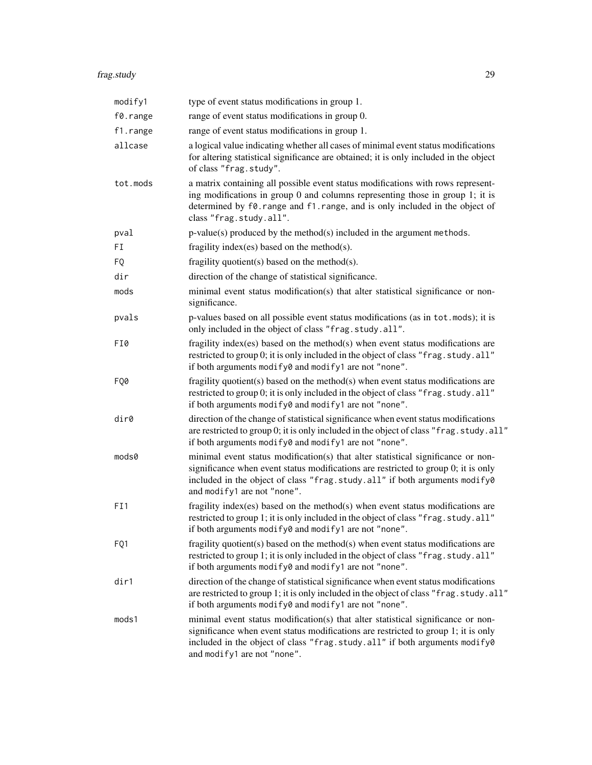# frag.study 29

| modify1  | type of event status modifications in group 1.                                                                                                                                                                                                                                      |
|----------|-------------------------------------------------------------------------------------------------------------------------------------------------------------------------------------------------------------------------------------------------------------------------------------|
| f0.range | range of event status modifications in group 0.                                                                                                                                                                                                                                     |
| f1.range | range of event status modifications in group 1.                                                                                                                                                                                                                                     |
| allcase  | a logical value indicating whether all cases of minimal event status modifications<br>for altering statistical significance are obtained; it is only included in the object<br>of class "frag.study".                                                                               |
| tot.mods | a matrix containing all possible event status modifications with rows represent-<br>ing modifications in group 0 and columns representing those in group 1; it is<br>determined by f0. range and f1. range, and is only included in the object of<br>class "frag.study.all".        |
| pval     | $p$ -value(s) produced by the method(s) included in the argument methods.                                                                                                                                                                                                           |
| FI       | fragility index(es) based on the method(s).                                                                                                                                                                                                                                         |
| FQ       | fragility quotient(s) based on the method(s).                                                                                                                                                                                                                                       |
| dir      | direction of the change of statistical significance.                                                                                                                                                                                                                                |
| mods     | minimal event status modification(s) that alter statistical significance or non-<br>significance.                                                                                                                                                                                   |
| pvals    | p-values based on all possible event status modifications (as in tot. mods); it is<br>only included in the object of class "frag.study.all".                                                                                                                                        |
| FI0      | fragility index(es) based on the method(s) when event status modifications are<br>restricted to group 0; it is only included in the object of class "frag.study.all"<br>if both arguments modify0 and modify1 are not "none".                                                       |
| FQ0      | fragility quotient(s) based on the method(s) when event status modifications are<br>restricted to group 0; it is only included in the object of class "frag.study.all"<br>if both arguments modify0 and modify1 are not "none".                                                     |
| dir0     | direction of the change of statistical significance when event status modifications<br>are restricted to group 0; it is only included in the object of class "frag. study. all"<br>if both arguments modify0 and modify1 are not "none".                                            |
| mods0    | minimal event status modification(s) that alter statistical significance or non-<br>significance when event status modifications are restricted to group 0; it is only<br>included in the object of class "frag.study.all" if both arguments modify0<br>and modify1 are not "none". |
| FI1      | fragility index(es) based on the method(s) when event status modifications are<br>restricted to group 1; it is only included in the object of class "frag.study.all"<br>if both arguments modify0 and modify1 are not "none".                                                       |
| FQ1      | fragility quotient(s) based on the method(s) when event status modifications are<br>restricted to group 1; it is only included in the object of class "frag. study. all"<br>if both arguments modify0 and modify1 are not "none".                                                   |
| dir1     | direction of the change of statistical significance when event status modifications<br>are restricted to group 1; it is only included in the object of class "frag.study.all"<br>if both arguments modify0 and modify1 are not "none".                                              |
| mods1    | minimal event status modification(s) that alter statistical significance or non-<br>significance when event status modifications are restricted to group 1; it is only<br>included in the object of class "frag.study.all" if both arguments modify0<br>and modify1 are not "none". |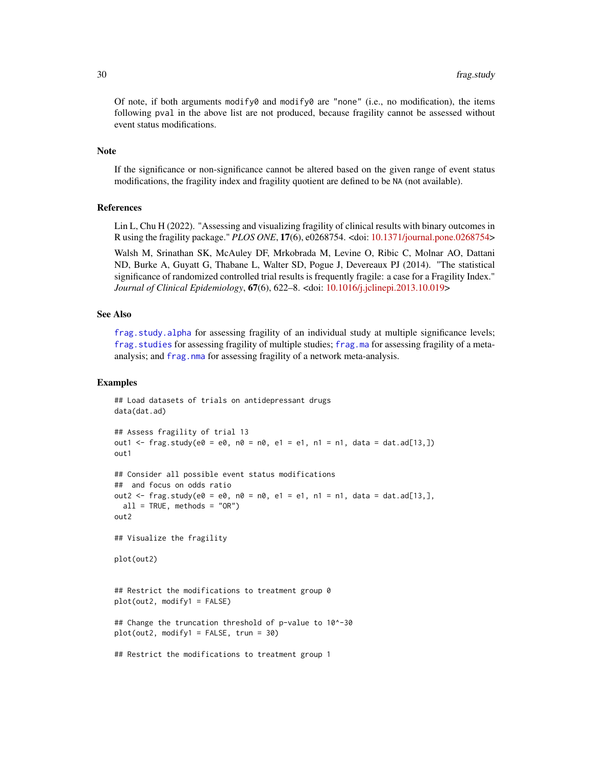<span id="page-29-0"></span>Of note, if both arguments modify $\theta$  and modify $\theta$  are "none" (i.e., no modification), the items following pval in the above list are not produced, because fragility cannot be assessed without event status modifications.

#### Note

If the significance or non-significance cannot be altered based on the given range of event status modifications, the fragility index and fragility quotient are defined to be NA (not available).

#### References

Lin L, Chu H (2022). "Assessing and visualizing fragility of clinical results with binary outcomes in R using the fragility package." *PLOS ONE*, 17(6), e0268754. <doi: [10.1371/journal.pone.0268754>](https://doi.org/10.1371/journal.pone.0268754)

Walsh M, Srinathan SK, McAuley DF, Mrkobrada M, Levine O, Ribic C, Molnar AO, Dattani ND, Burke A, Guyatt G, Thabane L, Walter SD, Pogue J, Devereaux PJ (2014). "The statistical significance of randomized controlled trial results is frequently fragile: a case for a Fragility Index." *Journal of Clinical Epidemiology*, 67(6), 622–8. <doi: [10.1016/j.jclinepi.2013.10.019>](https://doi.org/10.1016/j.jclinepi.2013.10.019)

# See Also

[frag.study.alpha](#page-30-1) for assessing fragility of an individual study at multiple significance levels; [frag.studies](#page-22-1) for assessing fragility of multiple studies; [frag.ma](#page-4-1) for assessing fragility of a metaanalysis; and [frag.nma](#page-14-1) for assessing fragility of a network meta-analysis.

#### Examples

```
## Load datasets of trials on antidepressant drugs
data(dat.ad)
## Assess fragility of trial 13
out1 <- frag.study(e\emptyset = e\emptyset, n\emptyset = n\emptyset, e1 = e1, n1 = n1, data = dat.ad[13,])
out1
## Consider all possible event status modifications
## and focus on odds ratio
out2 <- frag.study(e0 = e0, n0 = n0, e1 = e1, n1 = n1, data = dat.ad[13,],
 all = TRUE, methods = "OR")
out2
## Visualize the fragility
plot(out2)
## Restrict the modifications to treatment group 0
plot(out2, modify1 = FALSE)
## Change the truncation threshold of p-value to 10^-30
plot(out2, modify1 = FALSE, trun = 30)
## Restrict the modifications to treatment group 1
```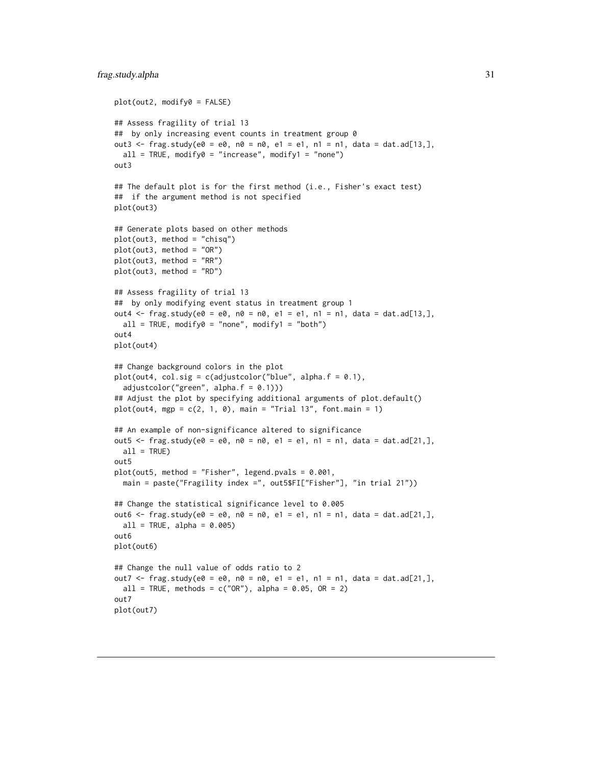```
plot(out2, modify0 = FALSE)
## Assess fragility of trial 13
## by only increasing event counts in treatment group 0
out3 <- frag.study(e0 = e0, n0 = n0, e1 = e1, n1 = n1, data = dat.ad[13,],
  all = TRUE, modify0 = "increase", modify1 = "none")out3
## The default plot is for the first method (i.e., Fisher's exact test)
## if the argument method is not specified
plot(out3)
## Generate plots based on other methods
plot(out3, method = "chisq")
plot(out3, method = "OR")
plot(out3, method = "RR")
plot(out3, method = "RD")
## Assess fragility of trial 13
## by only modifying event status in treatment group 1
out4 <- frag.study(e0 = e0, n0 = n0, e1 = e1, n1 = n1, data = dat.ad[13,],
  all = TRUE, modify0 = "none", modify1 = "both")out4
plot(out4)
## Change background colors in the plot
plot(out4, col.size = c(adjustcolor("blue", alpha.f = 0.1),adjustcolor("green", alpha.f = 0.1))
## Adjust the plot by specifying additional arguments of plot.default()
plot(out4, mgp = c(2, 1, 0), main = "Trial 13", font.mainloop = 1)## An example of non-significance altered to significance
out5 <- frag.study(e0 = e0, n0 = n0, e1 = e1, n1 = n1, data = dat.ad[21,],
 all = TRUE)
out5
plot(out5, method = "Fisher", legend.pvals = 0.001,
  main = paste("Fragility index =", out5$FI["Fisher"], "in trial 21"))
## Change the statistical significance level to 0.005
out6 \leq frag.study(e0 = e0, n0 = n0, e1 = e1, n1 = n1, data = dat.ad[21,],
  all = TRUE, alpha = 0.005out6
plot(out6)
## Change the null value of odds ratio to 2
out7 <- frag.study(e0 = e0, n0 = n0, e1 = e1, n1 = n1, data = dat.ad[21,],
  all = TRUE, methods = c("OR"), alpha = 0.05, OR = 2)
out7
plot(out7)
```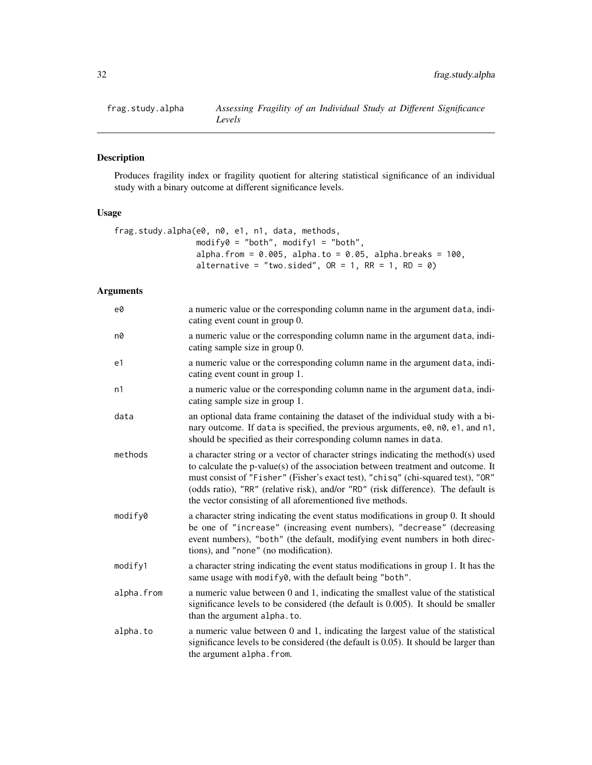<span id="page-31-0"></span>

# Description

Produces fragility index or fragility quotient for altering statistical significance of an individual study with a binary outcome at different significance levels.

# Usage

```
frag.study.alpha(e0, n0, e1, n1, data, methods,
                 modify0 = "both", modify1 = "both",
                 alpha.from = 0.005, alpha.to = 0.05, alpha.breaks = 100,
                 alternative = "two.sided", OR = 1, RR = 1, RD = 0)
```

| e0         | a numeric value or the corresponding column name in the argument data, indi-<br>cating event count in group 0.                                                                                                                                                                                                                                                                                              |
|------------|-------------------------------------------------------------------------------------------------------------------------------------------------------------------------------------------------------------------------------------------------------------------------------------------------------------------------------------------------------------------------------------------------------------|
| n0         | a numeric value or the corresponding column name in the argument data, indi-<br>cating sample size in group 0.                                                                                                                                                                                                                                                                                              |
| e1         | a numeric value or the corresponding column name in the argument data, indi-<br>cating event count in group 1.                                                                                                                                                                                                                                                                                              |
| n1         | a numeric value or the corresponding column name in the argument data, indi-<br>cating sample size in group 1.                                                                                                                                                                                                                                                                                              |
| data       | an optional data frame containing the dataset of the individual study with a bi-<br>nary outcome. If data is specified, the previous arguments, e0, n0, e1, and n1,<br>should be specified as their corresponding column names in data.                                                                                                                                                                     |
| methods    | a character string or a vector of character strings indicating the method(s) used<br>to calculate the p-value(s) of the association between treatment and outcome. It<br>must consist of "Fisher" (Fisher's exact test), "chisq" (chi-squared test), "OR"<br>(odds ratio), "RR" (relative risk), and/or "RD" (risk difference). The default is<br>the vector consisting of all aforementioned five methods. |
| modify0    | a character string indicating the event status modifications in group 0. It should<br>be one of "increase" (increasing event numbers), "decrease" (decreasing<br>event numbers), "both" (the default, modifying event numbers in both direc-<br>tions), and "none" (no modification).                                                                                                                       |
| modify1    | a character string indicating the event status modifications in group 1. It has the<br>same usage with modify0, with the default being "both".                                                                                                                                                                                                                                                              |
| alpha.from | a numeric value between 0 and 1, indicating the smallest value of the statistical<br>significance levels to be considered (the default is 0.005). It should be smaller<br>than the argument alpha. to.                                                                                                                                                                                                      |
| alpha.to   | a numeric value between 0 and 1, indicating the largest value of the statistical<br>significance levels to be considered (the default is 0.05). It should be larger than<br>the argument alpha. from.                                                                                                                                                                                                       |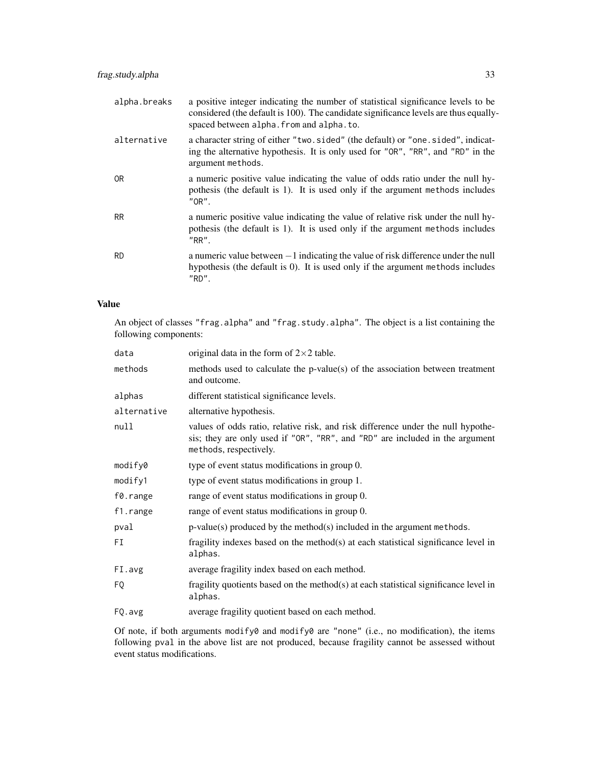| alpha.breaks | a positive integer indicating the number of statistical significance levels to be<br>considered (the default is 100). The candidate significance levels are thus equally-<br>spaced between alpha. from and alpha. to. |
|--------------|------------------------------------------------------------------------------------------------------------------------------------------------------------------------------------------------------------------------|
| alternative  | a character string of either "two.sided" (the default) or "one.sided", indicat-<br>ing the alternative hypothesis. It is only used for "OR", "RR", and "RD" in the<br>argument methods.                                |
| 0R           | a numeric positive value indicating the value of odds ratio under the null hy-<br>pothesis (the default is 1). It is used only if the argument methods includes<br>"OR".                                               |
| <b>RR</b>    | a numeric positive value indicating the value of relative risk under the null hy-<br>pothesis (the default is 1). It is used only if the argument methods includes<br>$"RR"$ .                                         |
| <b>RD</b>    | a numeric value between $-1$ indicating the value of risk difference under the null<br>hypothesis (the default is 0). It is used only if the argument methods includes<br>"RD".                                        |

# Value

An object of classes "frag.alpha" and "frag.study.alpha". The object is a list containing the following components:

| data        | original data in the form of $2 \times 2$ table.                                                                                                                                           |
|-------------|--------------------------------------------------------------------------------------------------------------------------------------------------------------------------------------------|
| methods     | methods used to calculate the p-value(s) of the association between treatment<br>and outcome.                                                                                              |
| alphas      | different statistical significance levels.                                                                                                                                                 |
| alternative | alternative hypothesis.                                                                                                                                                                    |
| null        | values of odds ratio, relative risk, and risk difference under the null hypothe-<br>sis; they are only used if "OR", "RR", and "RD" are included in the argument<br>methods, respectively. |
| modify0     | type of event status modifications in group 0.                                                                                                                                             |
| modify1     | type of event status modifications in group 1.                                                                                                                                             |
| f0.range    | range of event status modifications in group 0.                                                                                                                                            |
| f1.range    | range of event status modifications in group 0.                                                                                                                                            |
| pval        | $p$ -value(s) produced by the method(s) included in the argument methods.                                                                                                                  |
| FI          | fragility indexes based on the method(s) at each statistical significance level in<br>alphas.                                                                                              |
| FI.avg      | average fragility index based on each method.                                                                                                                                              |
| FQ          | fragility quotients based on the method $(s)$ at each statistical significance level in<br>alphas.                                                                                         |
| FQ.avg      | average fragility quotient based on each method.                                                                                                                                           |

Of note, if both arguments modify0 and modify0 are "none" (i.e., no modification), the items following pval in the above list are not produced, because fragility cannot be assessed without event status modifications.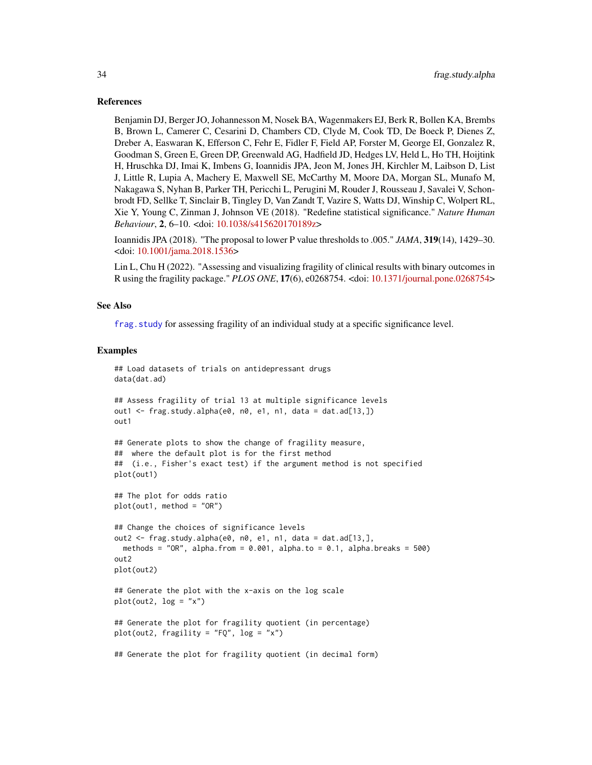#### References

Benjamin DJ, Berger JO, Johannesson M, Nosek BA, Wagenmakers EJ, Berk R, Bollen KA, Brembs B, Brown L, Camerer C, Cesarini D, Chambers CD, Clyde M, Cook TD, De Boeck P, Dienes Z, Dreber A, Easwaran K, Efferson C, Fehr E, Fidler F, Field AP, Forster M, George EI, Gonzalez R, Goodman S, Green E, Green DP, Greenwald AG, Hadfield JD, Hedges LV, Held L, Ho TH, Hoijtink H, Hruschka DJ, Imai K, Imbens G, Ioannidis JPA, Jeon M, Jones JH, Kirchler M, Laibson D, List J, Little R, Lupia A, Machery E, Maxwell SE, McCarthy M, Moore DA, Morgan SL, Munafo M, Nakagawa S, Nyhan B, Parker TH, Pericchi L, Perugini M, Rouder J, Rousseau J, Savalei V, Schonbrodt FD, Sellke T, Sinclair B, Tingley D, Van Zandt T, Vazire S, Watts DJ, Winship C, Wolpert RL, Xie Y, Young C, Zinman J, Johnson VE (2018). "Redefine statistical significance." *Nature Human Behaviour*, 2, 6–10. <doi: [10.1038/s415620170189z>](https://doi.org/10.1038/s41562-017-0189-z)

Ioannidis JPA (2018). "The proposal to lower P value thresholds to .005." *JAMA*, 319(14), 1429–30. <doi: [10.1001/jama.2018.1536>](https://doi.org/10.1001/jama.2018.1536)

Lin L, Chu H (2022). "Assessing and visualizing fragility of clinical results with binary outcomes in R using the fragility package." *PLOS ONE*, 17(6), e0268754. <doi: [10.1371/journal.pone.0268754>](https://doi.org/10.1371/journal.pone.0268754)

#### See Also

[frag.study](#page-26-1) for assessing fragility of an individual study at a specific significance level.

#### Examples

```
## Load datasets of trials on antidepressant drugs
data(dat.ad)
## Assess fragility of trial 13 at multiple significance levels
out1 \leq frag.study.alpha(e0, n0, e1, n1, data = dat.ad[13,])
out1
## Generate plots to show the change of fragility measure,
## where the default plot is for the first method
## (i.e., Fisher's exact test) if the argument method is not specified
plot(out1)
## The plot for odds ratio
plot(out1, method = "OR")
## Change the choices of significance levels
out2 <- frag.study.alpha(e0, n0, e1, n1, data = dat.ad[13,],
 methods = "OR", alpha.from = 0.001, alpha.to = 0.1, alpha.breaks = 500)
out2
plot(out2)
## Generate the plot with the x-axis on the log scale
plot(out2, log = "x")## Generate the plot for fragility quotient (in percentage)
plot(out2, fragility = "FQ", log = "x")## Generate the plot for fragility quotient (in decimal form)
```
<span id="page-33-0"></span>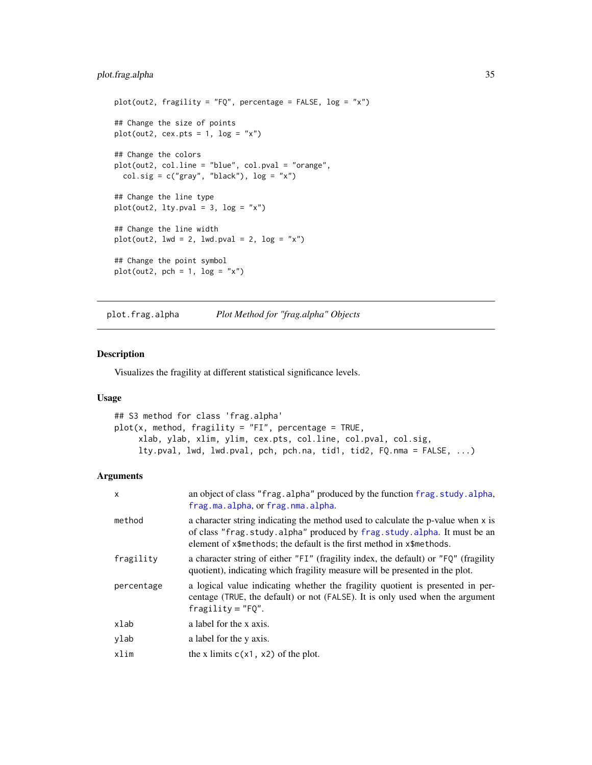# <span id="page-34-0"></span>plot.frag.alpha 35

```
plot(out2, fragility = "FQ", percentage = FALSE, log = "x")## Change the size of points
plot(out2, cex.pts = 1, log = "x")
## Change the colors
plot(out2, col.line = "blue", col.pval = "orange",
  col.sig = c("gray", "black"), log = "x")## Change the line type
plot(out2, lty.pval = 3, log = "x")## Change the line width
plot(out2, lwd = 2, lwd.pval = 2, log = "x")## Change the point symbol
plot(out2, pch = 1, log = "x")
```
plot.frag.alpha *Plot Method for "frag.alpha" Objects*

#### Description

Visualizes the fragility at different statistical significance levels.

#### Usage

```
## S3 method for class 'frag.alpha'
plot(x, method, fragility = "FI", percentage = TRUE,
     xlab, ylab, xlim, ylim, cex.pts, col.line, col.pval, col.sig,
     lty.pval, lwd, lwd.pval, pch, pch.na, tid1, tid2, FQ.nma = FALSE, ...)
```

| X          | an object of class "frag.alpha" produced by the function frag.study.alpha,<br>frag.ma.alpha, or frag.nma.alpha.                                                                                                                      |
|------------|--------------------------------------------------------------------------------------------------------------------------------------------------------------------------------------------------------------------------------------|
| method     | a character string indicating the method used to calculate the p-value when x is<br>of class "frag.study.alpha" produced by frag.study.alpha. It must be an<br>element of x\$methods; the default is the first method in x\$methods. |
| fragility  | a character string of either "FI" (fragility index, the default) or "FQ" (fragility<br>quotient), indicating which fragility measure will be presented in the plot.                                                                  |
| percentage | a logical value indicating whether the fragility quotient is presented in per-<br>centage (TRUE, the default) or not (FALSE). It is only used when the argument<br>$fragility = "F0".$                                               |
| xlab       | a label for the x axis.                                                                                                                                                                                                              |
| ylab       | a label for the y axis.                                                                                                                                                                                                              |
| xlim       | the x limits $c(x1, x2)$ of the plot.                                                                                                                                                                                                |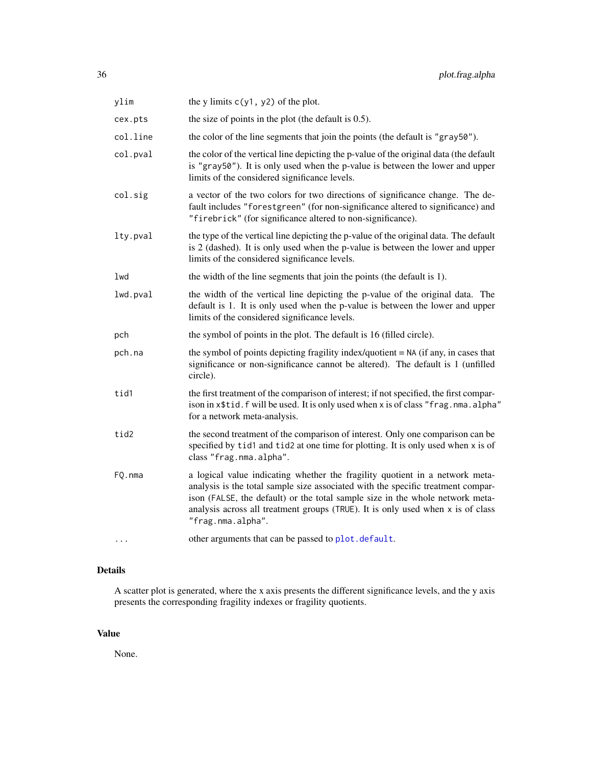<span id="page-35-0"></span>

| ylim     | the y limits $c(y1, y2)$ of the plot.                                                                                                                                                                                                                                                                                                                       |
|----------|-------------------------------------------------------------------------------------------------------------------------------------------------------------------------------------------------------------------------------------------------------------------------------------------------------------------------------------------------------------|
| cex.pts  | the size of points in the plot (the default is $0.5$ ).                                                                                                                                                                                                                                                                                                     |
| col.line | the color of the line segments that join the points (the default is "gray50").                                                                                                                                                                                                                                                                              |
| col.pval | the color of the vertical line depicting the p-value of the original data (the default<br>is "gray50"). It is only used when the p-value is between the lower and upper<br>limits of the considered significance levels.                                                                                                                                    |
| col.sig  | a vector of the two colors for two directions of significance change. The de-<br>fault includes "forestgreen" (for non-significance altered to significance) and<br>"firebrick" (for significance altered to non-significance).                                                                                                                             |
| lty.pval | the type of the vertical line depicting the p-value of the original data. The default<br>is 2 (dashed). It is only used when the p-value is between the lower and upper<br>limits of the considered significance levels.                                                                                                                                    |
| lwd      | the width of the line segments that join the points (the default is 1).                                                                                                                                                                                                                                                                                     |
| lwd.pval | the width of the vertical line depicting the p-value of the original data. The<br>default is 1. It is only used when the p-value is between the lower and upper<br>limits of the considered significance levels.                                                                                                                                            |
| pch      | the symbol of points in the plot. The default is 16 (filled circle).                                                                                                                                                                                                                                                                                        |
| pch.na   | the symbol of points depicting fragility index/quotient $= NA$ (if any, in cases that<br>significance or non-significance cannot be altered). The default is 1 (unfilled<br>circle).                                                                                                                                                                        |
| tid1     | the first treatment of the comparison of interest; if not specified, the first compar-<br>ison in x\$tid.f will be used. It is only used when x is of class "frag.nma.alpha"<br>for a network meta-analysis.                                                                                                                                                |
| tid2     | the second treatment of the comparison of interest. Only one comparison can be<br>specified by tid1 and tid2 at one time for plotting. It is only used when x is of<br>class "frag.nma.alpha".                                                                                                                                                              |
| FQ.nma   | a logical value indicating whether the fragility quotient in a network meta-<br>analysis is the total sample size associated with the specific treatment compar-<br>ison (FALSE, the default) or the total sample size in the whole network meta-<br>analysis across all treatment groups (TRUE). It is only used when $x$ is of class<br>"frag.nma.alpha". |
| .        | other arguments that can be passed to plot.default.                                                                                                                                                                                                                                                                                                         |

# Details

A scatter plot is generated, where the x axis presents the different significance levels, and the y axis presents the corresponding fragility indexes or fragility quotients.

# Value

None.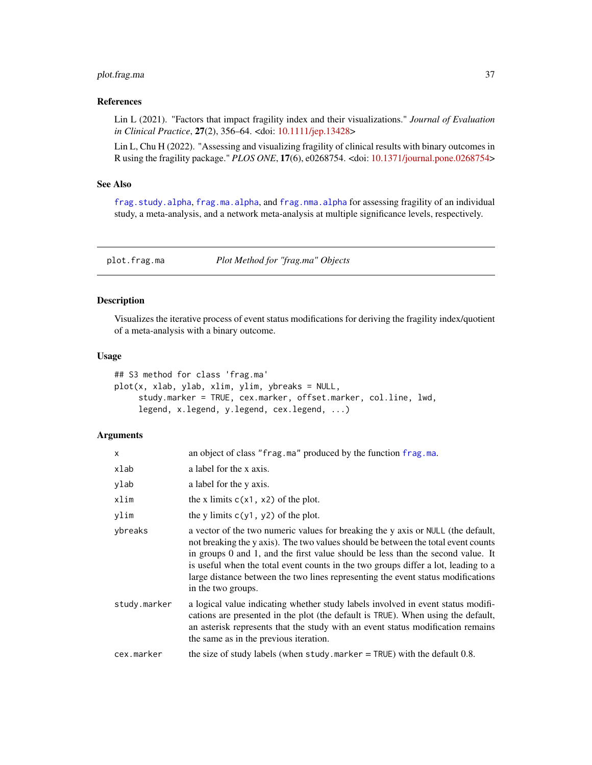# <span id="page-36-0"></span>plot.frag.ma 37

# References

Lin L (2021). "Factors that impact fragility index and their visualizations." *Journal of Evaluation in Clinical Practice*, 27(2), 356–64. <doi: [10.1111/jep.13428>](https://doi.org/10.1111/jep.13428)

Lin L, Chu H (2022). "Assessing and visualizing fragility of clinical results with binary outcomes in R using the fragility package." *PLOS ONE*, 17(6), e0268754. <doi: [10.1371/journal.pone.0268754>](https://doi.org/10.1371/journal.pone.0268754)

#### See Also

[frag.study.alpha](#page-30-1), [frag.ma.alpha](#page-9-1), and [frag.nma.alpha](#page-19-1) for assessing fragility of an individual study, a meta-analysis, and a network meta-analysis at multiple significance levels, respectively.

plot.frag.ma *Plot Method for "frag.ma" Objects*

#### Description

Visualizes the iterative process of event status modifications for deriving the fragility index/quotient of a meta-analysis with a binary outcome.

#### Usage

```
## S3 method for class 'frag.ma'
plot(x, xlab, ylab, xlim, ylim, ybreaks = NULL,
     study.marker = TRUE, cex.marker, offset.marker, col.line, lwd,
     legend, x.legend, y.legend, cex.legend, ...)
```

| $\mathsf{x}$ | an object of class "frag.ma" produced by the function frag.ma.                                                                                                                                                                                                                                                                                                                                                                                                |
|--------------|---------------------------------------------------------------------------------------------------------------------------------------------------------------------------------------------------------------------------------------------------------------------------------------------------------------------------------------------------------------------------------------------------------------------------------------------------------------|
| xlab         | a label for the x axis.                                                                                                                                                                                                                                                                                                                                                                                                                                       |
| ylab         | a label for the y axis.                                                                                                                                                                                                                                                                                                                                                                                                                                       |
| xlim         | the x limits $c(x1, x2)$ of the plot.                                                                                                                                                                                                                                                                                                                                                                                                                         |
| ylim         | the y limits $c(y1, y2)$ of the plot.                                                                                                                                                                                                                                                                                                                                                                                                                         |
| ybreaks      | a vector of the two numeric values for breaking the y axis or NULL (the default,<br>not breaking the y axis). The two values should be between the total event counts<br>in groups $0$ and $1$ , and the first value should be less than the second value. It<br>is useful when the total event counts in the two groups differ a lot, leading to a<br>large distance between the two lines representing the event status modifications<br>in the two groups. |
| study.marker | a logical value indicating whether study labels involved in event status modifi-<br>cations are presented in the plot (the default is TRUE). When using the default,<br>an asterisk represents that the study with an event status modification remains<br>the same as in the previous iteration.                                                                                                                                                             |
| cex.marker   | the size of study labels (when study marker $=$ TRUE) with the default 0.8.                                                                                                                                                                                                                                                                                                                                                                                   |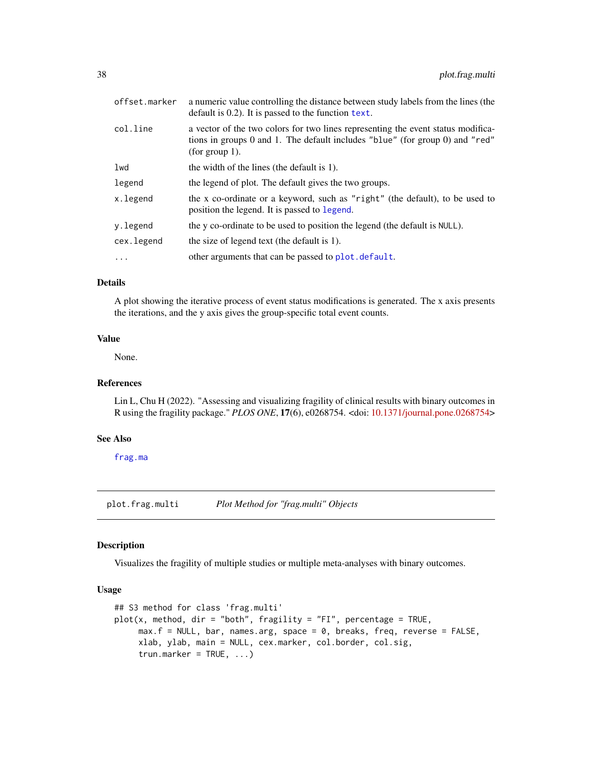<span id="page-37-0"></span>

| offset.marker | a numeric value controlling the distance between study labels from the lines (the<br>default is 0.2). It is passed to the function text.                                           |
|---------------|------------------------------------------------------------------------------------------------------------------------------------------------------------------------------------|
| col.line      | a vector of the two colors for two lines representing the event status modifica-<br>tions in groups 0 and 1. The default includes "blue" (for group 0) and "red"<br>(for group 1). |
| lwd           | the width of the lines (the default is 1).                                                                                                                                         |
| legend        | the legend of plot. The default gives the two groups.                                                                                                                              |
| x.legend      | the x co-ordinate or a keyword, such as "right" (the default), to be used to<br>position the legend. It is passed to legend.                                                       |
| y.legend      | the y co-ordinate to be used to position the legend (the default is NULL).                                                                                                         |
| cex.legend    | the size of legend text (the default is 1).                                                                                                                                        |
| $\ldots$      | other arguments that can be passed to plot. default.                                                                                                                               |
|               |                                                                                                                                                                                    |

#### Details

A plot showing the iterative process of event status modifications is generated. The x axis presents the iterations, and the y axis gives the group-specific total event counts.

#### Value

None.

# References

Lin L, Chu H (2022). "Assessing and visualizing fragility of clinical results with binary outcomes in R using the fragility package." *PLOS ONE*, 17(6), e0268754. <doi: [10.1371/journal.pone.0268754>](https://doi.org/10.1371/journal.pone.0268754)

#### See Also

[frag.ma](#page-4-1)

plot.frag.multi *Plot Method for "frag.multi" Objects*

#### Description

Visualizes the fragility of multiple studies or multiple meta-analyses with binary outcomes.

# Usage

```
## S3 method for class 'frag.multi'
plot(x, method, dir = "both", fragility = "FI", percentage = TRUE,max.f = NULL, bar, names.arg, space = 0, breaks, freq, reverse = FALSE,
     xlab, ylab, main = NULL, cex.marker, col.border, col.sig,
     trun.marker = TRUE, ...)
```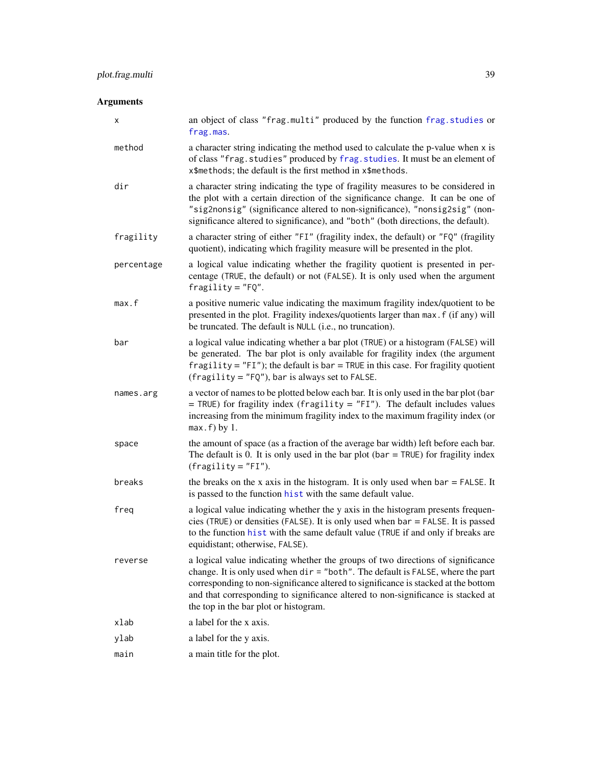<span id="page-38-0"></span>

| х          | an object of class "frag.multi" produced by the function frag.studies or<br>frag.mas.                                                                                                                                                                                                                                                                                                 |
|------------|---------------------------------------------------------------------------------------------------------------------------------------------------------------------------------------------------------------------------------------------------------------------------------------------------------------------------------------------------------------------------------------|
| method     | a character string indicating the method used to calculate the p-value when x is<br>of class "frag.studies" produced by frag.studies. It must be an element of<br>x\$methods; the default is the first method in x\$methods.                                                                                                                                                          |
| dir        | a character string indicating the type of fragility measures to be considered in<br>the plot with a certain direction of the significance change. It can be one of<br>"sig2nonsig" (significance altered to non-significance), "nonsig2sig" (non-<br>significance altered to significance), and "both" (both directions, the default).                                                |
| fragility  | a character string of either "FI" (fragility index, the default) or "FQ" (fragility<br>quotient), indicating which fragility measure will be presented in the plot.                                                                                                                                                                                                                   |
| percentage | a logical value indicating whether the fragility quotient is presented in per-<br>centage (TRUE, the default) or not (FALSE). It is only used when the argument<br>$fragility = "FQ".$                                                                                                                                                                                                |
| max.f      | a positive numeric value indicating the maximum fragility index/quotient to be<br>presented in the plot. Fragility indexes/quotients larger than max. f (if any) will<br>be truncated. The default is NULL (i.e., no truncation).                                                                                                                                                     |
| bar        | a logical value indicating whether a bar plot (TRUE) or a histogram (FALSE) will<br>be generated. The bar plot is only available for fragility index (the argument<br>fragility = $"FI"$ ); the default is bar = TRUE in this case. For fragility quotient<br>$(fragility = "FQ"),$ bar is always set to FALSE.                                                                       |
| names.arg  | a vector of names to be plotted below each bar. It is only used in the bar plot (bar<br>$=$ TRUE) for fragility index (fragility $=$ "FI"). The default includes values<br>increasing from the minimum fragility index to the maximum fragility index (or<br>$max.f$ ) by 1.                                                                                                          |
| space      | the amount of space (as a fraction of the average bar width) left before each bar.<br>The default is 0. It is only used in the bar plot ( $bar = TRUE$ ) for fragility index<br>$(fragility = "FI").$                                                                                                                                                                                 |
| breaks     | the breaks on the x axis in the histogram. It is only used when $bar = FALSE$ . It<br>is passed to the function hist with the same default value.                                                                                                                                                                                                                                     |
| freq       | a logical value indicating whether the y axis in the histogram presents frequen-<br>cies (TRUE) or densities (FALSE). It is only used when $bar =$ FALSE. It is passed<br>to the function hist with the same default value (TRUE if and only if breaks are<br>equidistant; otherwise, FALSE).                                                                                         |
| reverse    | a logical value indicating whether the groups of two directions of significance<br>change. It is only used when dir = "both". The default is FALSE, where the part<br>corresponding to non-significance altered to significance is stacked at the bottom<br>and that corresponding to significance altered to non-significance is stacked at<br>the top in the bar plot or histogram. |
| xlab       | a label for the x axis.                                                                                                                                                                                                                                                                                                                                                               |
| ylab       | a label for the y axis.                                                                                                                                                                                                                                                                                                                                                               |
| main       | a main title for the plot.                                                                                                                                                                                                                                                                                                                                                            |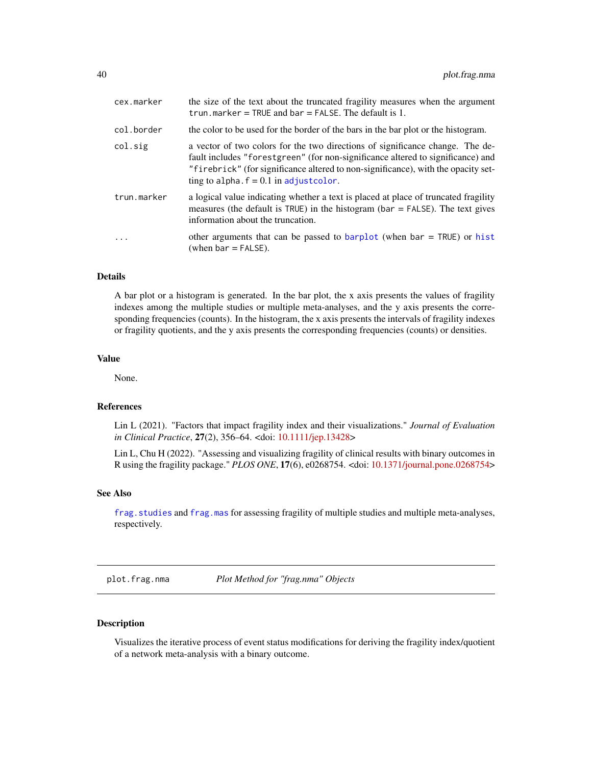<span id="page-39-0"></span>

| cex.marker  | the size of the text about the truncated fragility measures when the argument<br>trun.marker = TRUE and $bar$ = FALSE. The default is 1.                                                                                                                                                          |
|-------------|---------------------------------------------------------------------------------------------------------------------------------------------------------------------------------------------------------------------------------------------------------------------------------------------------|
| col.border  | the color to be used for the border of the bars in the bar plot or the histogram.                                                                                                                                                                                                                 |
| col.sig     | a vector of two colors for the two directions of significance change. The de-<br>fault includes "forestgreen" (for non-significance altered to significance) and<br>"firebrick" (for significance altered to non-significance), with the opacity set-<br>ting to alpha. $f = 0.1$ in adjustcolor. |
| trun.marker | a logical value indicating whether a text is placed at place of truncated fragility<br>measures (the default is $TRUE$ ) in the histogram (bar = $FALSE$ ). The text gives<br>information about the truncation.                                                                                   |
|             | other arguments that can be passed to barplot (when bar $=$ TRUE) or hist<br>(when $bar = FALSE$ ).                                                                                                                                                                                               |

# Details

A bar plot or a histogram is generated. In the bar plot, the x axis presents the values of fragility indexes among the multiple studies or multiple meta-analyses, and the y axis presents the corresponding frequencies (counts). In the histogram, the x axis presents the intervals of fragility indexes or fragility quotients, and the y axis presents the corresponding frequencies (counts) or densities.

#### Value

None.

# References

Lin L (2021). "Factors that impact fragility index and their visualizations." *Journal of Evaluation in Clinical Practice*, 27(2), 356–64. <doi: [10.1111/jep.13428>](https://doi.org/10.1111/jep.13428)

Lin L, Chu H (2022). "Assessing and visualizing fragility of clinical results with binary outcomes in R using the fragility package." *PLOS ONE*, 17(6), e0268754. <doi: [10.1371/journal.pone.0268754>](https://doi.org/10.1371/journal.pone.0268754)

# See Also

[frag.studies](#page-22-1) and [frag.mas](#page-12-1) for assessing fragility of multiple studies and multiple meta-analyses, respectively.

plot.frag.nma *Plot Method for "frag.nma" Objects*

#### Description

Visualizes the iterative process of event status modifications for deriving the fragility index/quotient of a network meta-analysis with a binary outcome.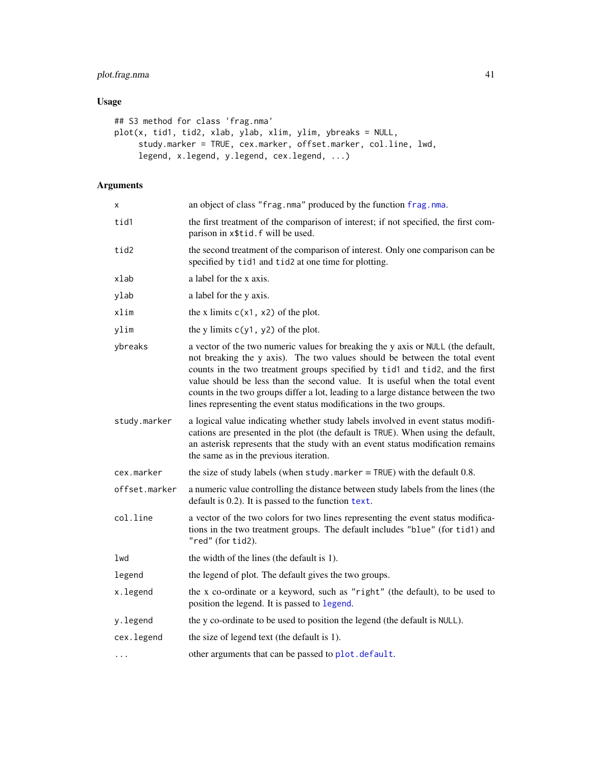# <span id="page-40-0"></span>plot.frag.nma 41

# Usage

```
## S3 method for class 'frag.nma'
plot(x, tid1, tid2, xlab, ylab, xlim, ylim, ybreaks = NULL,
     study.marker = TRUE, cex.marker, offset.marker, col.line, lwd,
     legend, x.legend, y.legend, cex.legend, ...)
```

| x             | an object of class "frag.nma" produced by the function frag.nma.                                                                                                                                                                                                                                                                                                                                                                                                                              |
|---------------|-----------------------------------------------------------------------------------------------------------------------------------------------------------------------------------------------------------------------------------------------------------------------------------------------------------------------------------------------------------------------------------------------------------------------------------------------------------------------------------------------|
| tid1          | the first treatment of the comparison of interest; if not specified, the first com-<br>parison in x\$tid.f will be used.                                                                                                                                                                                                                                                                                                                                                                      |
| tid2          | the second treatment of the comparison of interest. Only one comparison can be<br>specified by tid1 and tid2 at one time for plotting.                                                                                                                                                                                                                                                                                                                                                        |
| xlab          | a label for the x axis.                                                                                                                                                                                                                                                                                                                                                                                                                                                                       |
| ylab          | a label for the y axis.                                                                                                                                                                                                                                                                                                                                                                                                                                                                       |
| xlim          | the x limits $c(x1, x2)$ of the plot.                                                                                                                                                                                                                                                                                                                                                                                                                                                         |
| ylim          | the y limits $c(y1, y2)$ of the plot.                                                                                                                                                                                                                                                                                                                                                                                                                                                         |
| ybreaks       | a vector of the two numeric values for breaking the y axis or NULL (the default,<br>not breaking the y axis). The two values should be between the total event<br>counts in the two treatment groups specified by tid1 and tid2, and the first<br>value should be less than the second value. It is useful when the total event<br>counts in the two groups differ a lot, leading to a large distance between the two<br>lines representing the event status modifications in the two groups. |
| study.marker  | a logical value indicating whether study labels involved in event status modifi-<br>cations are presented in the plot (the default is TRUE). When using the default,<br>an asterisk represents that the study with an event status modification remains<br>the same as in the previous iteration.                                                                                                                                                                                             |
| cex.marker    | the size of study labels (when study $.$ marker = TRUE) with the default 0.8.                                                                                                                                                                                                                                                                                                                                                                                                                 |
| offset.marker | a numeric value controlling the distance between study labels from the lines (the<br>default is $0.2$ ). It is passed to the function text.                                                                                                                                                                                                                                                                                                                                                   |
| col.line      | a vector of the two colors for two lines representing the event status modifica-<br>tions in the two treatment groups. The default includes "blue" (for tid1) and<br>"red" (for tid2).                                                                                                                                                                                                                                                                                                        |
| lwd           | the width of the lines (the default is 1).                                                                                                                                                                                                                                                                                                                                                                                                                                                    |
| legend        | the legend of plot. The default gives the two groups.                                                                                                                                                                                                                                                                                                                                                                                                                                         |
| x.legend      | the x co-ordinate or a keyword, such as "right" (the default), to be used to<br>position the legend. It is passed to legend.                                                                                                                                                                                                                                                                                                                                                                  |
| y.legend      | the y co-ordinate to be used to position the legend (the default is NULL).                                                                                                                                                                                                                                                                                                                                                                                                                    |
| cex.legend    | the size of legend text (the default is 1).                                                                                                                                                                                                                                                                                                                                                                                                                                                   |
| .             | other arguments that can be passed to plot. default.                                                                                                                                                                                                                                                                                                                                                                                                                                          |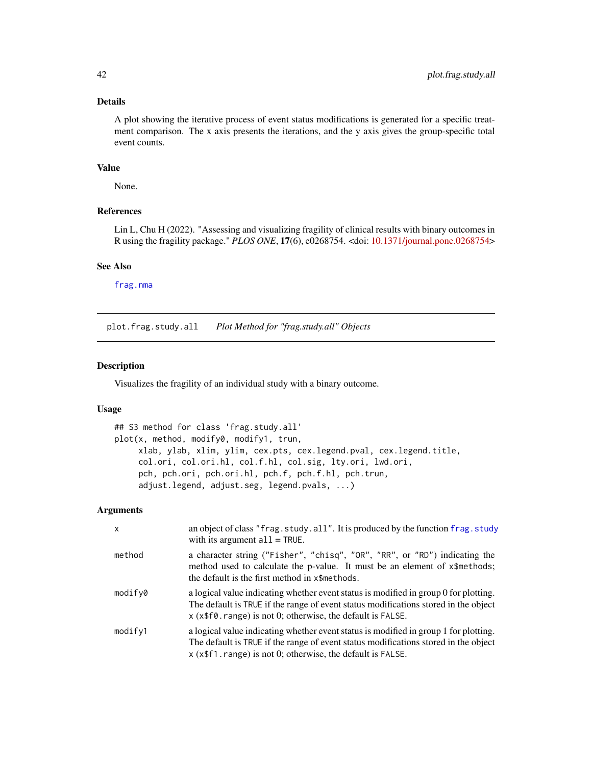### Details

A plot showing the iterative process of event status modifications is generated for a specific treatment comparison. The x axis presents the iterations, and the y axis gives the group-specific total event counts.

#### Value

None.

# References

Lin L, Chu H (2022). "Assessing and visualizing fragility of clinical results with binary outcomes in R using the fragility package." *PLOS ONE*, 17(6), e0268754. <doi: [10.1371/journal.pone.0268754>](https://doi.org/10.1371/journal.pone.0268754)

#### See Also

[frag.nma](#page-14-1)

plot.frag.study.all *Plot Method for "frag.study.all" Objects*

# Description

Visualizes the fragility of an individual study with a binary outcome.

# Usage

```
## S3 method for class 'frag.study.all'
plot(x, method, modify0, modify1, trun,
     xlab, ylab, xlim, ylim, cex.pts, cex.legend.pval, cex.legend.title,
     col.ori, col.ori.hl, col.f.hl, col.sig, lty.ori, lwd.ori,
     pch, pch.ori, pch.ori.hl, pch.f, pch.f.hl, pch.trun,
     adjust.legend, adjust.seg, legend.pvals, ...)
```

| $\mathsf{x}$ | an object of class "frag.study.all". It is produced by the function frag.study<br>with its argument $all = TRUE$ .                                                                                                                                        |
|--------------|-----------------------------------------------------------------------------------------------------------------------------------------------------------------------------------------------------------------------------------------------------------|
| method       | a character string ("Fisher", "chisq", "OR", "RR", or "RD") indicating the<br>method used to calculate the p-value. It must be an element of x\\$methods;<br>the default is the first method in x\$methods.                                               |
| modify0      | a logical value indicating whether event status is modified in group 0 for plotting.<br>The default is TRUE if the range of event status modifications stored in the object<br>$x$ ( $x$ \$f $\theta$ . range) is not 0; otherwise, the default is FALSE. |
| modify1      | a logical value indicating whether event status is modified in group 1 for plotting.<br>The default is TRUE if the range of event status modifications stored in the object<br>$x$ ( $x$ \$f1. range) is not 0; otherwise, the default is FALSE.          |

<span id="page-41-0"></span>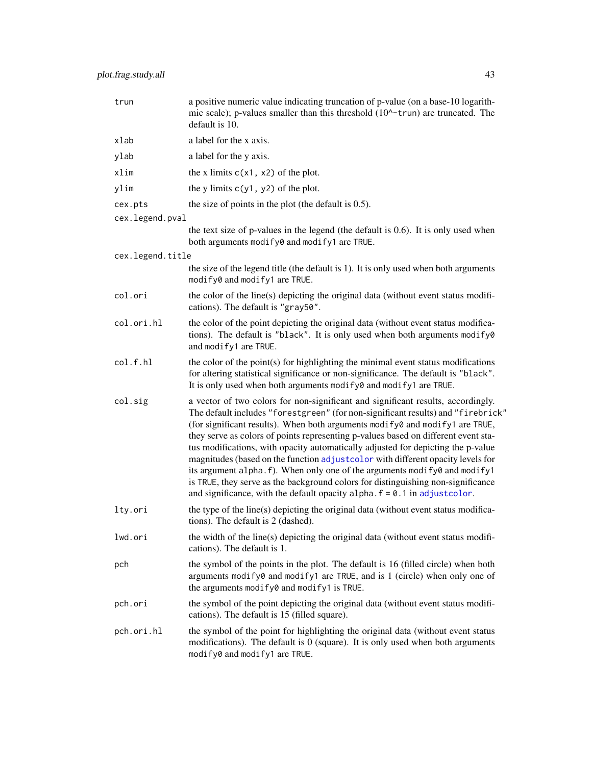<span id="page-42-0"></span>

| trun             | a positive numeric value indicating truncation of p-value (on a base-10 logarith-<br>mic scale); p-values smaller than this threshold (10^-trun) are truncated. The<br>default is 10.                                                                                                                                                                                                                                                                                                                                                                                                                                                                                                                                                                               |
|------------------|---------------------------------------------------------------------------------------------------------------------------------------------------------------------------------------------------------------------------------------------------------------------------------------------------------------------------------------------------------------------------------------------------------------------------------------------------------------------------------------------------------------------------------------------------------------------------------------------------------------------------------------------------------------------------------------------------------------------------------------------------------------------|
| xlab             | a label for the x axis.                                                                                                                                                                                                                                                                                                                                                                                                                                                                                                                                                                                                                                                                                                                                             |
| ylab             | a label for the y axis.                                                                                                                                                                                                                                                                                                                                                                                                                                                                                                                                                                                                                                                                                                                                             |
| xlim             | the x limits $c(x1, x2)$ of the plot.                                                                                                                                                                                                                                                                                                                                                                                                                                                                                                                                                                                                                                                                                                                               |
| ylim             | the y limits $c(y1, y2)$ of the plot.                                                                                                                                                                                                                                                                                                                                                                                                                                                                                                                                                                                                                                                                                                                               |
| cex.pts          | the size of points in the plot (the default is $0.5$ ).                                                                                                                                                                                                                                                                                                                                                                                                                                                                                                                                                                                                                                                                                                             |
| cex.legend.pval  |                                                                                                                                                                                                                                                                                                                                                                                                                                                                                                                                                                                                                                                                                                                                                                     |
|                  | the text size of p-values in the legend (the default is 0.6). It is only used when<br>both arguments modify0 and modify1 are TRUE.                                                                                                                                                                                                                                                                                                                                                                                                                                                                                                                                                                                                                                  |
| cex.legend.title |                                                                                                                                                                                                                                                                                                                                                                                                                                                                                                                                                                                                                                                                                                                                                                     |
|                  | the size of the legend title (the default is 1). It is only used when both arguments<br>modify0 and modify1 are TRUE.                                                                                                                                                                                                                                                                                                                                                                                                                                                                                                                                                                                                                                               |
| col.ori          | the color of the line(s) depicting the original data (without event status modifi-<br>cations). The default is "gray50".                                                                                                                                                                                                                                                                                                                                                                                                                                                                                                                                                                                                                                            |
| col.ori.hl       | the color of the point depicting the original data (without event status modifica-<br>tions). The default is "black". It is only used when both arguments modify0<br>and modify1 are TRUE.                                                                                                                                                                                                                                                                                                                                                                                                                                                                                                                                                                          |
| col.f.hl         | the color of the point(s) for highlighting the minimal event status modifications<br>for altering statistical significance or non-significance. The default is "black".<br>It is only used when both arguments modify 0 and modify 1 are TRUE.                                                                                                                                                                                                                                                                                                                                                                                                                                                                                                                      |
| col.sig          | a vector of two colors for non-significant and significant results, accordingly.<br>The default includes "forestgreen" (for non-significant results) and "firebrick"<br>(for significant results). When both arguments modify0 and modify1 are TRUE,<br>they serve as colors of points representing p-values based on different event sta-<br>tus modifications, with opacity automatically adjusted for depicting the p-value<br>magnitudes (based on the function adjustcolor with different opacity levels for<br>its argument alpha. f). When only one of the arguments modify0 and modify1<br>is TRUE, they serve as the background colors for distinguishing non-significance<br>and significance, with the default opacity alpha. $f = 0.1$ in adjust color. |
| lty.ori          | the type of the line(s) depicting the original data (without event status modifica-<br>tions). The default is 2 (dashed).                                                                                                                                                                                                                                                                                                                                                                                                                                                                                                                                                                                                                                           |
| lwd.ori          | the width of the line(s) depicting the original data (without event status modifi-<br>cations). The default is 1.                                                                                                                                                                                                                                                                                                                                                                                                                                                                                                                                                                                                                                                   |
| pch              | the symbol of the points in the plot. The default is 16 (filled circle) when both<br>arguments modify0 and modify1 are TRUE, and is 1 (circle) when only one of<br>the arguments modify0 and modify1 is TRUE.                                                                                                                                                                                                                                                                                                                                                                                                                                                                                                                                                       |
| pch.ori          | the symbol of the point depicting the original data (without event status modifi-<br>cations). The default is 15 (filled square).                                                                                                                                                                                                                                                                                                                                                                                                                                                                                                                                                                                                                                   |
| pch.ori.hl       | the symbol of the point for highlighting the original data (without event status<br>modifications). The default is $0$ (square). It is only used when both arguments<br>modify0 and modify1 are TRUE.                                                                                                                                                                                                                                                                                                                                                                                                                                                                                                                                                               |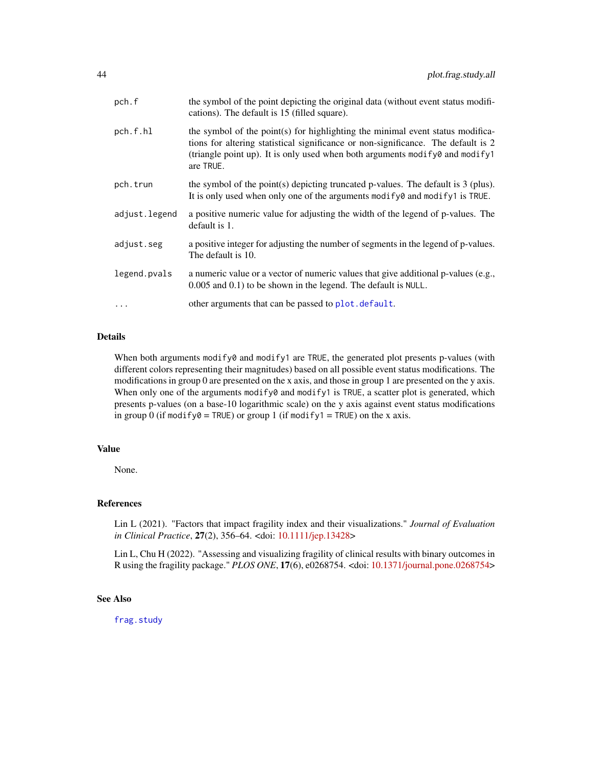<span id="page-43-0"></span>

| pch.f         | the symbol of the point depicting the original data (without event status modifi-<br>cations). The default is 15 (filled square).                                                                                                                                  |
|---------------|--------------------------------------------------------------------------------------------------------------------------------------------------------------------------------------------------------------------------------------------------------------------|
| pch.f.hl      | the symbol of the point(s) for highlighting the minimal event status modifica-<br>tions for altering statistical significance or non-significance. The default is 2<br>(triangle point up). It is only used when both arguments modify 0 and modify 1<br>are TRUE. |
| pch.trun      | the symbol of the point(s) depicting truncated p-values. The default is $3$ (plus).<br>It is only used when only one of the arguments modify $\theta$ and modify 1 is TRUE.                                                                                        |
| adjust.legend | a positive numeric value for adjusting the width of the legend of p-values. The<br>default is 1.                                                                                                                                                                   |
| adjust.seg    | a positive integer for adjusting the number of segments in the legend of p-values.<br>The default is 10.                                                                                                                                                           |
| legend.pvals  | a numeric value or a vector of numeric values that give additional p-values (e.g.,<br>0.005 and 0.1) to be shown in the legend. The default is NULL.                                                                                                               |
| $\ddots$ .    | other arguments that can be passed to plot. default.                                                                                                                                                                                                               |

# Details

When both arguments modify0 and modify1 are TRUE, the generated plot presents p-values (with different colors representing their magnitudes) based on all possible event status modifications. The modifications in group 0 are presented on the x axis, and those in group 1 are presented on the y axis. When only one of the arguments modify $\theta$  and modify1 is TRUE, a scatter plot is generated, which presents p-values (on a base-10 logarithmic scale) on the y axis against event status modifications in group 0 (if modify $0 = TRUE$ ) or group 1 (if modify1 = TRUE) on the x axis.

#### Value

None.

#### References

Lin L (2021). "Factors that impact fragility index and their visualizations." *Journal of Evaluation in Clinical Practice*, 27(2), 356–64. <doi: [10.1111/jep.13428>](https://doi.org/10.1111/jep.13428)

Lin L, Chu H (2022). "Assessing and visualizing fragility of clinical results with binary outcomes in R using the fragility package." *PLOS ONE*, 17(6), e0268754. <doi: [10.1371/journal.pone.0268754>](https://doi.org/10.1371/journal.pone.0268754)

#### See Also

[frag.study](#page-26-1)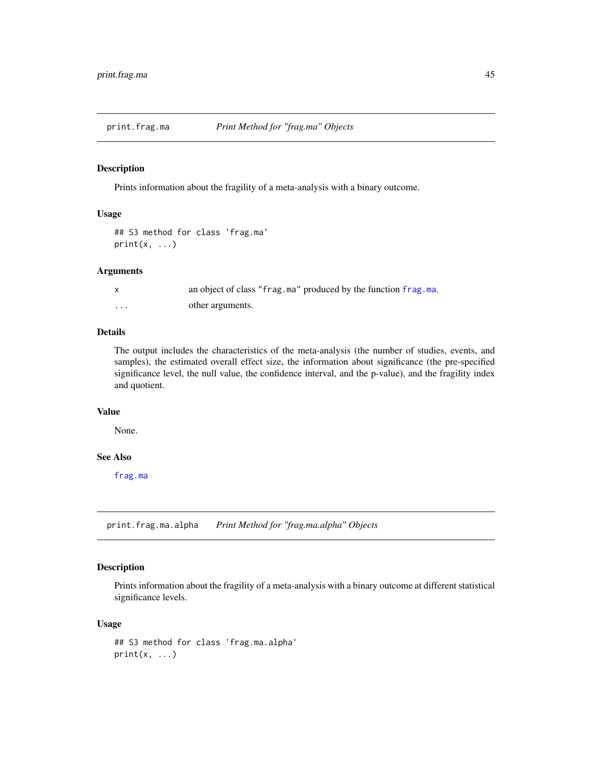<span id="page-44-0"></span>

#### Description

Prints information about the fragility of a meta-analysis with a binary outcome.

#### Usage

```
## S3 method for class 'frag.ma'
print(x, \ldots)
```
# Arguments

|   | an object of class "frag.ma" produced by the function frag.ma. |
|---|----------------------------------------------------------------|
| . | other arguments.                                               |

# Details

The output includes the characteristics of the meta-analysis (the number of studies, events, and samples), the estimated overall effect size, the information about significance (the pre-specified significance level, the null value, the confidence interval, and the p-value), and the fragility index and quotient.

### Value

None.

# See Also

[frag.ma](#page-4-1)

print.frag.ma.alpha *Print Method for "frag.ma.alpha" Objects*

#### Description

Prints information about the fragility of a meta-analysis with a binary outcome at different statistical significance levels.

#### Usage

```
## S3 method for class 'frag.ma.alpha'
print(x, \ldots)
```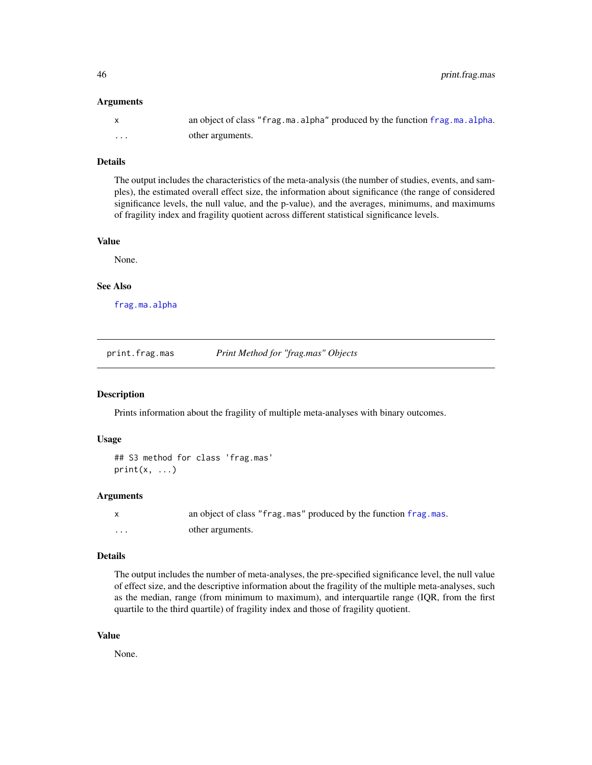#### <span id="page-45-0"></span>Arguments

|   | an object of class "frag.ma.alpha" produced by the function frag.ma.alpha. |
|---|----------------------------------------------------------------------------|
| . | other arguments.                                                           |

## Details

The output includes the characteristics of the meta-analysis (the number of studies, events, and samples), the estimated overall effect size, the information about significance (the range of considered significance levels, the null value, and the p-value), and the averages, minimums, and maximums of fragility index and fragility quotient across different statistical significance levels.

#### Value

None.

#### See Also

[frag.ma.alpha](#page-9-1)

print.frag.mas *Print Method for "frag.mas" Objects*

#### Description

Prints information about the fragility of multiple meta-analyses with binary outcomes.

#### Usage

```
## S3 method for class 'frag.mas'
print(x, \ldots)
```
#### Arguments

|          | an object of class "frag.mas" produced by the function frag.mas. |
|----------|------------------------------------------------------------------|
| $\cdots$ | other arguments.                                                 |

#### Details

The output includes the number of meta-analyses, the pre-specified significance level, the null value of effect size, and the descriptive information about the fragility of the multiple meta-analyses, such as the median, range (from minimum to maximum), and interquartile range (IQR, from the first quartile to the third quartile) of fragility index and those of fragility quotient.

# Value

None.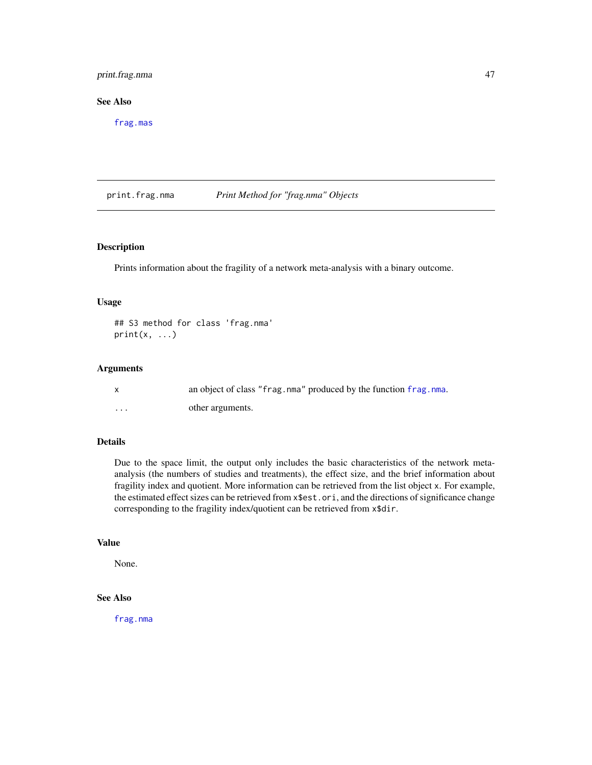# <span id="page-46-0"></span>print.frag.nma 47

### See Also

[frag.mas](#page-12-1)

print.frag.nma *Print Method for "frag.nma" Objects*

#### Description

Prints information about the fragility of a network meta-analysis with a binary outcome.

#### Usage

## S3 method for class 'frag.nma'  $print(x, \ldots)$ 

#### Arguments

|          | an object of class "frag.nma" produced by the function frag.nma. |
|----------|------------------------------------------------------------------|
| $\cdots$ | other arguments.                                                 |

# Details

Due to the space limit, the output only includes the basic characteristics of the network metaanalysis (the numbers of studies and treatments), the effect size, and the brief information about fragility index and quotient. More information can be retrieved from the list object x. For example, the estimated effect sizes can be retrieved from x\$est.ori, and the directions of significance change corresponding to the fragility index/quotient can be retrieved from x\$dir.

#### Value

None.

# See Also

[frag.nma](#page-14-1)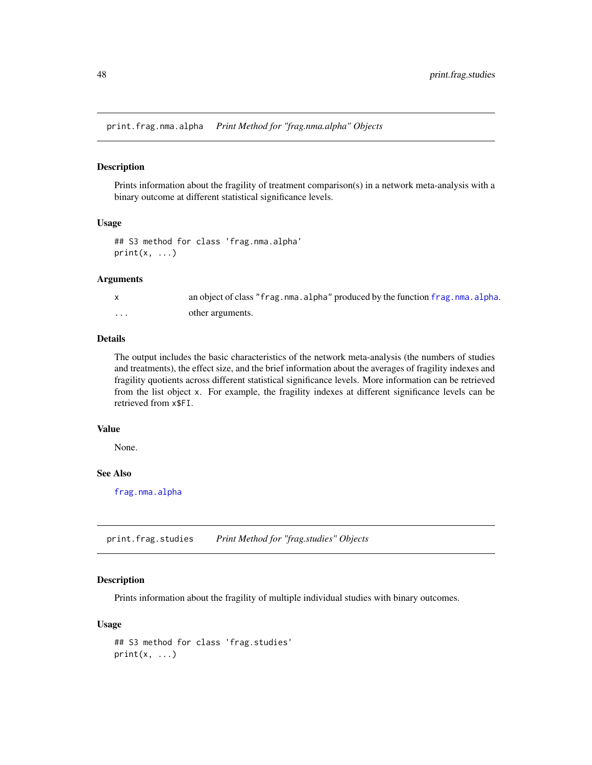<span id="page-47-0"></span>print.frag.nma.alpha *Print Method for "frag.nma.alpha" Objects*

#### Description

Prints information about the fragility of treatment comparison(s) in a network meta-analysis with a binary outcome at different statistical significance levels.

## Usage

## S3 method for class 'frag.nma.alpha'  $print(x, \ldots)$ 

#### Arguments

|          | an object of class "frag.nma.alpha" produced by the function frag.nma.alpha. |
|----------|------------------------------------------------------------------------------|
| $\cdots$ | other arguments.                                                             |

#### Details

The output includes the basic characteristics of the network meta-analysis (the numbers of studies and treatments), the effect size, and the brief information about the averages of fragility indexes and fragility quotients across different statistical significance levels. More information can be retrieved from the list object x. For example, the fragility indexes at different significance levels can be retrieved from x\$FI.

#### Value

None.

# See Also

[frag.nma.alpha](#page-19-1)

print.frag.studies *Print Method for "frag.studies" Objects*

# Description

Prints information about the fragility of multiple individual studies with binary outcomes.

#### Usage

```
## S3 method for class 'frag.studies'
print(x, \ldots)
```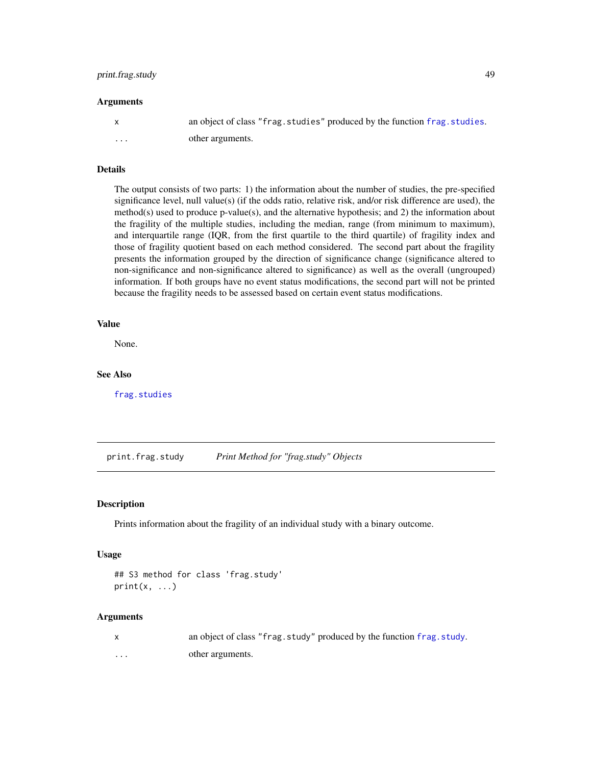# <span id="page-48-0"></span>print.frag.study 49

#### Arguments

| X | an object of class "frag. studies" produced by the function frag. studies. |
|---|----------------------------------------------------------------------------|
| . | other arguments.                                                           |

# Details

The output consists of two parts: 1) the information about the number of studies, the pre-specified significance level, null value(s) (if the odds ratio, relative risk, and/or risk difference are used), the method(s) used to produce p-value(s), and the alternative hypothesis; and 2) the information about the fragility of the multiple studies, including the median, range (from minimum to maximum), and interquartile range (IQR, from the first quartile to the third quartile) of fragility index and those of fragility quotient based on each method considered. The second part about the fragility presents the information grouped by the direction of significance change (significance altered to non-significance and non-significance altered to significance) as well as the overall (ungrouped) information. If both groups have no event status modifications, the second part will not be printed because the fragility needs to be assessed based on certain event status modifications.

#### Value

None.

#### See Also

[frag.studies](#page-22-1)

print.frag.study *Print Method for "frag.study" Objects*

#### **Description**

Prints information about the fragility of an individual study with a binary outcome.

#### Usage

```
## S3 method for class 'frag.study'
print(x, \ldots)
```

|   | an object of class "frag. study" produced by the function frag. study. |
|---|------------------------------------------------------------------------|
| . | other arguments.                                                       |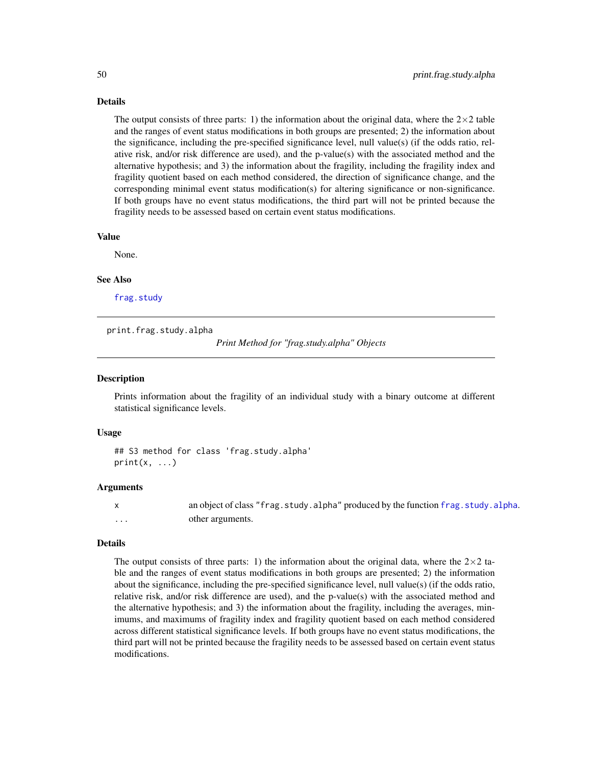#### <span id="page-49-0"></span>Details

The output consists of three parts: 1) the information about the original data, where the  $2\times 2$  table and the ranges of event status modifications in both groups are presented; 2) the information about the significance, including the pre-specified significance level, null value(s) (if the odds ratio, relative risk, and/or risk difference are used), and the p-value(s) with the associated method and the alternative hypothesis; and 3) the information about the fragility, including the fragility index and fragility quotient based on each method considered, the direction of significance change, and the corresponding minimal event status modification(s) for altering significance or non-significance. If both groups have no event status modifications, the third part will not be printed because the fragility needs to be assessed based on certain event status modifications.

#### Value

None.

#### See Also

[frag.study](#page-26-1)

print.frag.study.alpha

```
Print Method for "frag.study.alpha" Objects
```
#### **Description**

Prints information about the fragility of an individual study with a binary outcome at different statistical significance levels.

#### Usage

```
## S3 method for class 'frag.study.alpha'
print(x, \ldots)
```
#### Arguments

x an object of class "frag.study.alpha" produced by the function [frag.study.alpha](#page-30-1). other arguments.

#### Details

The output consists of three parts: 1) the information about the original data, where the  $2\times 2$  table and the ranges of event status modifications in both groups are presented; 2) the information about the significance, including the pre-specified significance level, null value(s) (if the odds ratio, relative risk, and/or risk difference are used), and the p-value(s) with the associated method and the alternative hypothesis; and 3) the information about the fragility, including the averages, minimums, and maximums of fragility index and fragility quotient based on each method considered across different statistical significance levels. If both groups have no event status modifications, the third part will not be printed because the fragility needs to be assessed based on certain event status modifications.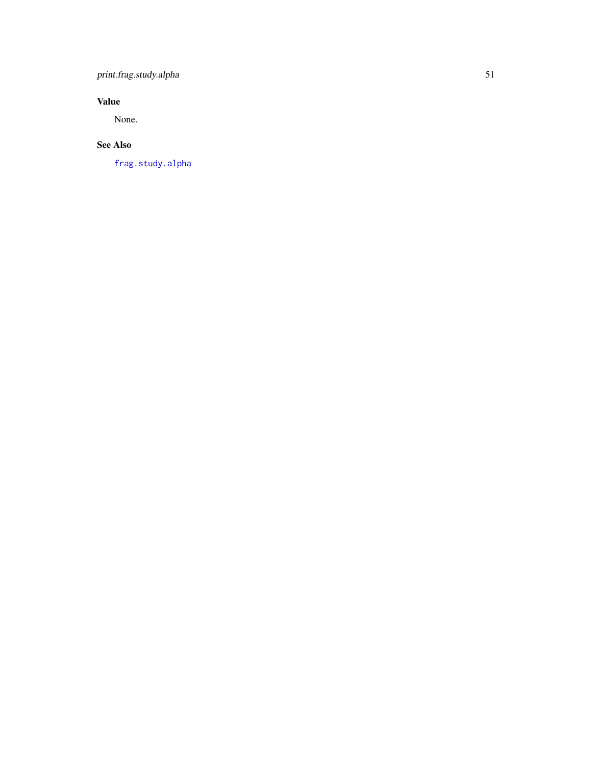# <span id="page-50-0"></span>print.frag.study.alpha 51

# Value

None.

# See Also

[frag.study.alpha](#page-30-1)